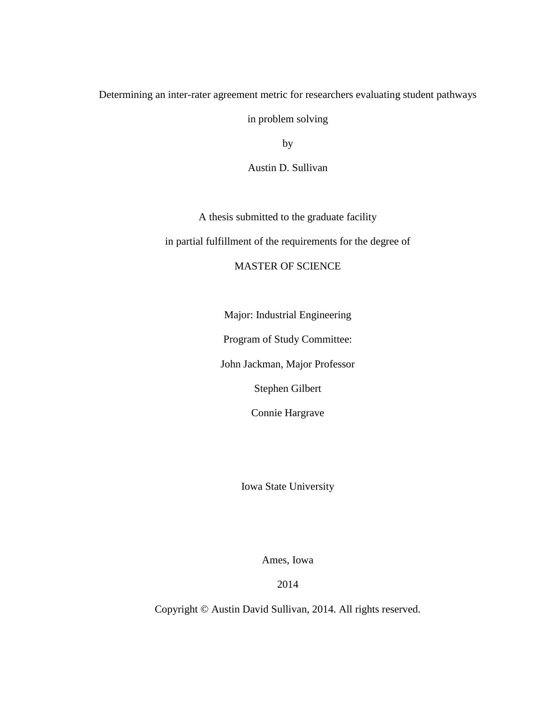Determining an inter-rater agreement metric for researchers evaluating student pathways

in problem solving

by

Austin D. Sullivan

A thesis submitted to the graduate facility

in partial fulfillment of the requirements for the degree of

### MASTER OF SCIENCE

Major: Industrial Engineering

Program of Study Committee:

John Jackman, Major Professor

Stephen Gilbert

Connie Hargrave

Iowa State University

Ames, Iowa

2014

Copyright © Austin David Sullivan, 2014. All rights reserved.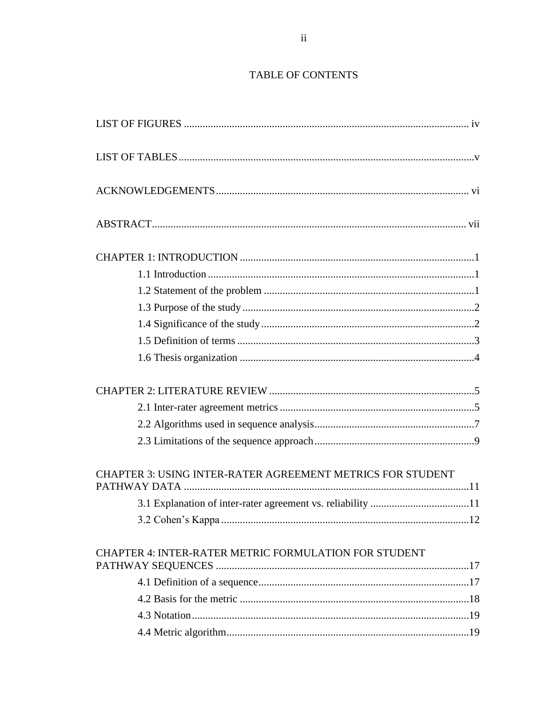### TABLE OF CONTENTS

| <b>CHAPTER 3: USING INTER-RATER AGREEMENT METRICS FOR STUDENT</b> |  |
|-------------------------------------------------------------------|--|
|                                                                   |  |
|                                                                   |  |
| CHAPTER 4: INTER-RATER METRIC FORMULATION FOR STUDENT             |  |
|                                                                   |  |
|                                                                   |  |
|                                                                   |  |
|                                                                   |  |
|                                                                   |  |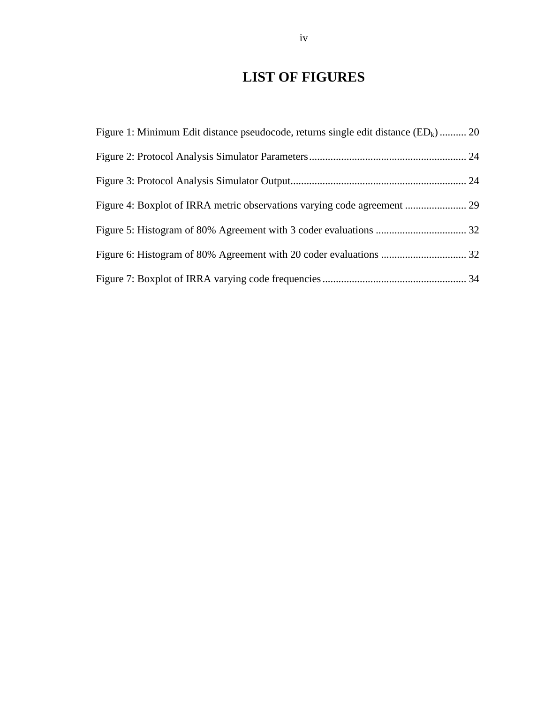# **LIST OF FIGURES**

<span id="page-3-0"></span>

| Figure 1: Minimum Edit distance pseudocode, returns single edit distance $(ED_k)$ 20 |  |
|--------------------------------------------------------------------------------------|--|
|                                                                                      |  |
|                                                                                      |  |
|                                                                                      |  |
|                                                                                      |  |
|                                                                                      |  |
|                                                                                      |  |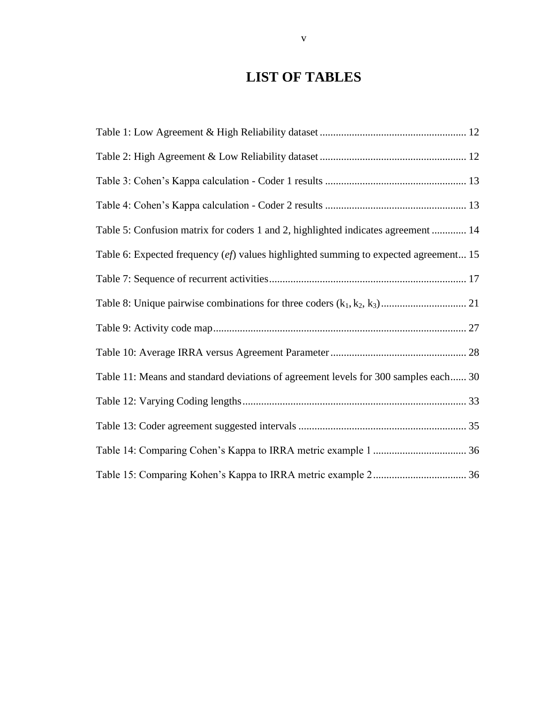# **LIST OF TABLES**

<span id="page-4-0"></span>

| Table 5: Confusion matrix for coders 1 and 2, highlighted indicates agreement  14    |
|--------------------------------------------------------------------------------------|
| Table 6: Expected frequency (ef) values highlighted summing to expected agreement 15 |
|                                                                                      |
|                                                                                      |
|                                                                                      |
|                                                                                      |
| Table 11: Means and standard deviations of agreement levels for 300 samples each 30  |
|                                                                                      |
|                                                                                      |
|                                                                                      |
|                                                                                      |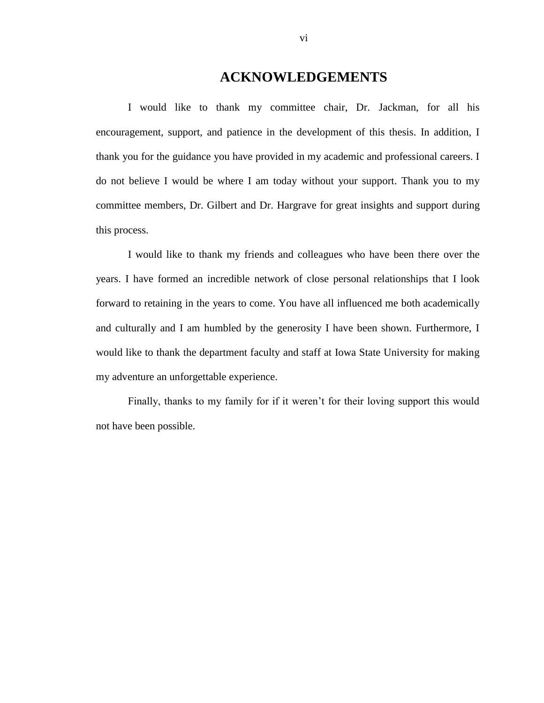## **ACKNOWLEDGEMENTS**

<span id="page-5-0"></span>I would like to thank my committee chair, Dr. Jackman, for all his encouragement, support, and patience in the development of this thesis. In addition, I thank you for the guidance you have provided in my academic and professional careers. I do not believe I would be where I am today without your support. Thank you to my committee members, Dr. Gilbert and Dr. Hargrave for great insights and support during this process.

I would like to thank my friends and colleagues who have been there over the years. I have formed an incredible network of close personal relationships that I look forward to retaining in the years to come. You have all influenced me both academically and culturally and I am humbled by the generosity I have been shown. Furthermore, I would like to thank the department faculty and staff at Iowa State University for making my adventure an unforgettable experience.

Finally, thanks to my family for if it weren't for their loving support this would not have been possible.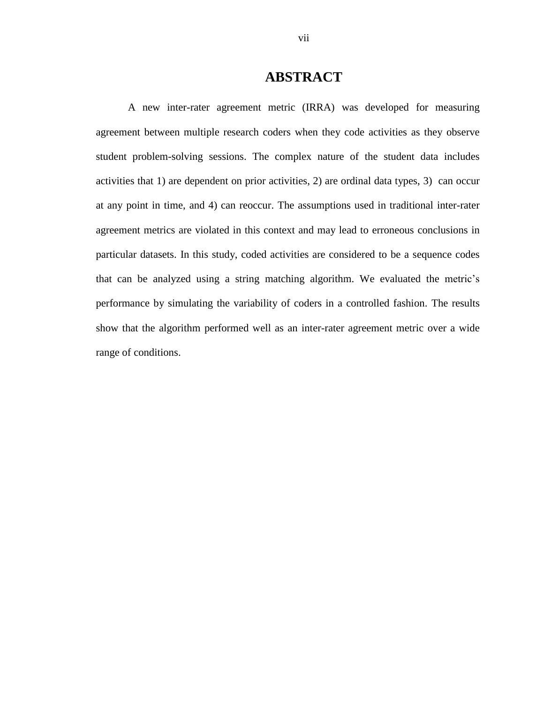# **ABSTRACT**

<span id="page-6-0"></span>A new inter-rater agreement metric (IRRA) was developed for measuring agreement between multiple research coders when they code activities as they observe student problem-solving sessions. The complex nature of the student data includes activities that 1) are dependent on prior activities, 2) are ordinal data types, 3) can occur at any point in time, and 4) can reoccur. The assumptions used in traditional inter-rater agreement metrics are violated in this context and may lead to erroneous conclusions in particular datasets. In this study, coded activities are considered to be a sequence codes that can be analyzed using a string matching algorithm. We evaluated the metric's performance by simulating the variability of coders in a controlled fashion. The results show that the algorithm performed well as an inter-rater agreement metric over a wide range of conditions.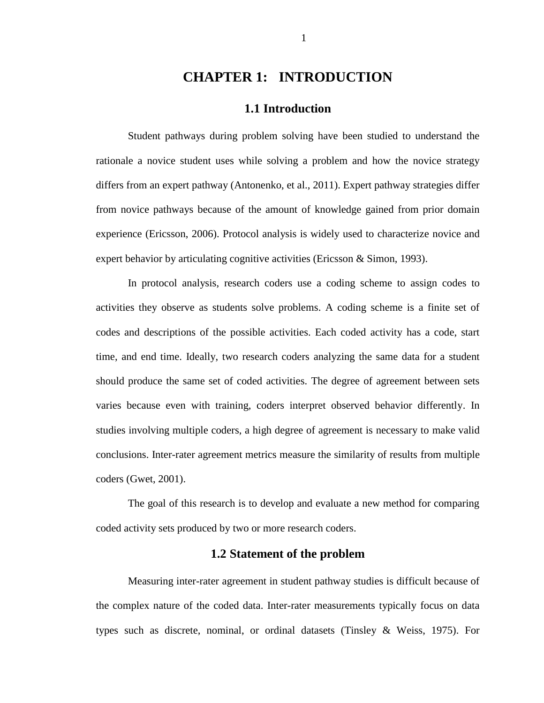# **CHAPTER 1: INTRODUCTION**

### **1.1 Introduction**

<span id="page-7-1"></span><span id="page-7-0"></span>Student pathways during problem solving have been studied to understand the rationale a novice student uses while solving a problem and how the novice strategy differs from an expert pathway (Antonenko, et al., 2011). Expert pathway strategies differ from novice pathways because of the amount of knowledge gained from prior domain experience (Ericsson, 2006). Protocol analysis is widely used to characterize novice and expert behavior by articulating cognitive activities (Ericsson & Simon, 1993).

In protocol analysis, research coders use a coding scheme to assign codes to activities they observe as students solve problems. A coding scheme is a finite set of codes and descriptions of the possible activities. Each coded activity has a code, start time, and end time. Ideally, two research coders analyzing the same data for a student should produce the same set of coded activities. The degree of agreement between sets varies because even with training, coders interpret observed behavior differently. In studies involving multiple coders, a high degree of agreement is necessary to make valid conclusions. Inter-rater agreement metrics measure the similarity of results from multiple coders (Gwet, 2001).

The goal of this research is to develop and evaluate a new method for comparing coded activity sets produced by two or more research coders.

### **1.2 Statement of the problem**

<span id="page-7-2"></span>Measuring inter-rater agreement in student pathway studies is difficult because of the complex nature of the coded data. Inter-rater measurements typically focus on data types such as discrete, nominal, or ordinal datasets (Tinsley & Weiss, 1975). For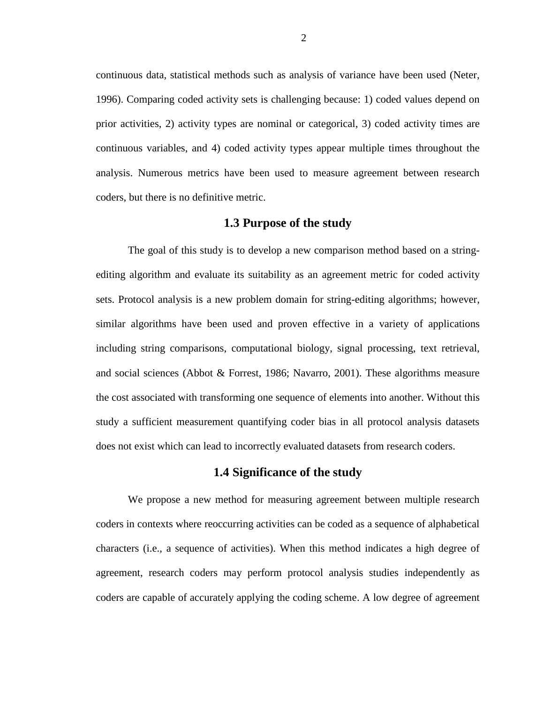continuous data, statistical methods such as analysis of variance have been used (Neter, 1996). Comparing coded activity sets is challenging because: 1) coded values depend on prior activities, 2) activity types are nominal or categorical, 3) coded activity times are continuous variables, and 4) coded activity types appear multiple times throughout the analysis. Numerous metrics have been used to measure agreement between research coders, but there is no definitive metric.

### **1.3 Purpose of the study**

<span id="page-8-0"></span>The goal of this study is to develop a new comparison method based on a stringediting algorithm and evaluate its suitability as an agreement metric for coded activity sets. Protocol analysis is a new problem domain for string-editing algorithms; however, similar algorithms have been used and proven effective in a variety of applications including string comparisons, computational biology, signal processing, text retrieval, and social sciences (Abbot & Forrest, 1986; Navarro, 2001). These algorithms measure the cost associated with transforming one sequence of elements into another. Without this study a sufficient measurement quantifying coder bias in all protocol analysis datasets does not exist which can lead to incorrectly evaluated datasets from research coders.

### **1.4 Significance of the study**

<span id="page-8-1"></span>We propose a new method for measuring agreement between multiple research coders in contexts where reoccurring activities can be coded as a sequence of alphabetical characters (i.e., a sequence of activities). When this method indicates a high degree of agreement, research coders may perform protocol analysis studies independently as coders are capable of accurately applying the coding scheme. A low degree of agreement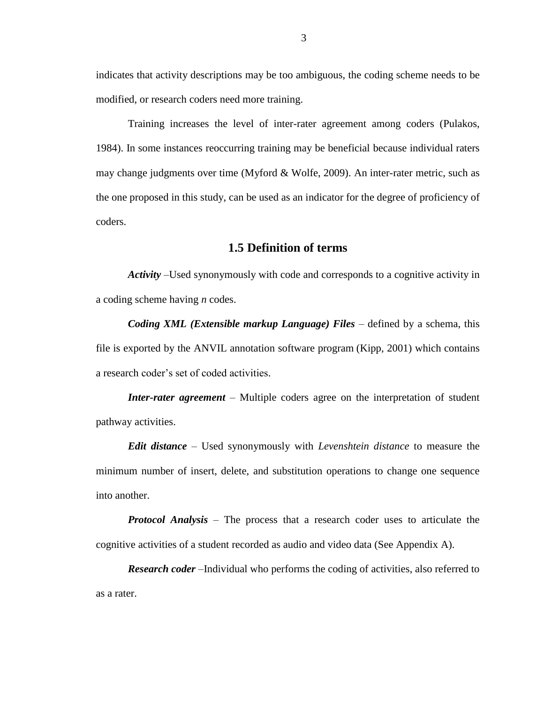indicates that activity descriptions may be too ambiguous, the coding scheme needs to be modified, or research coders need more training.

Training increases the level of inter-rater agreement among coders (Pulakos, 1984). In some instances reoccurring training may be beneficial because individual raters may change judgments over time (Myford & Wolfe, 2009). An inter-rater metric, such as the one proposed in this study, can be used as an indicator for the degree of proficiency of coders.

### **1.5 Definition of terms**

<span id="page-9-0"></span>*Activity* –Used synonymously with code and corresponds to a cognitive activity in a coding scheme having *n* codes.

*Coding XML (Extensible markup Language) Files* – defined by a schema, this file is exported by the ANVIL annotation software program (Kipp, 2001) which contains a research coder's set of coded activities.

*Inter-rater agreement* – Multiple coders agree on the interpretation of student pathway activities.

*Edit distance* – Used synonymously with *Levenshtein distance* to measure the minimum number of insert, delete, and substitution operations to change one sequence into another.

*Protocol Analysis* – The process that a research coder uses to articulate the cognitive activities of a student recorded as audio and video data (See Appendix A).

*Research coder* –Individual who performs the coding of activities, also referred to as a rater.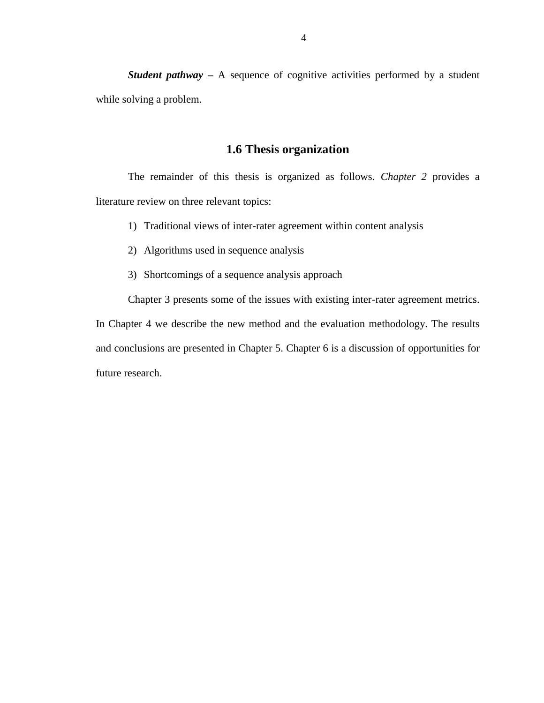*Student pathway* – A sequence of cognitive activities performed by a student while solving a problem.

### **1.6 Thesis organization**

<span id="page-10-0"></span>The remainder of this thesis is organized as follows. *Chapter 2* provides a literature review on three relevant topics:

- 1) Traditional views of inter-rater agreement within content analysis
- 2) Algorithms used in sequence analysis
- 3) Shortcomings of a sequence analysis approach

Chapter 3 presents some of the issues with existing inter-rater agreement metrics.

In Chapter 4 we describe the new method and the evaluation methodology. The results and conclusions are presented in Chapter 5. Chapter 6 is a discussion of opportunities for future research.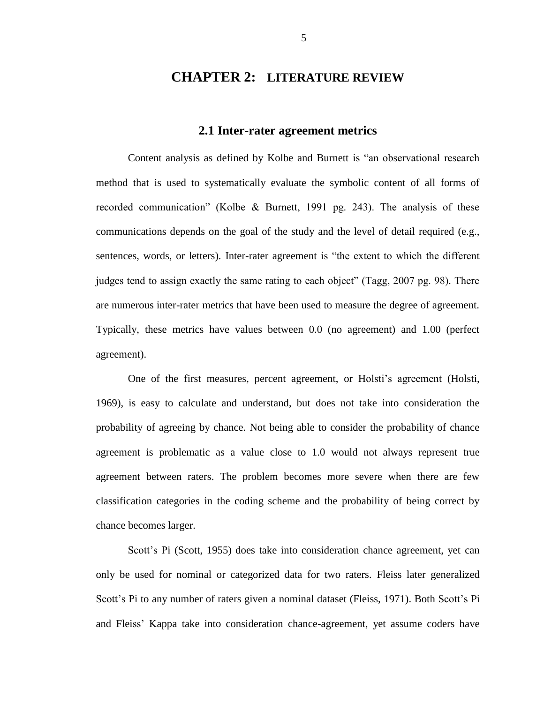### <span id="page-11-0"></span>**CHAPTER 2: LITERATURE REVIEW**

### **2.1 Inter-rater agreement metrics**

<span id="page-11-1"></span>Content analysis as defined by Kolbe and Burnett is "an observational research method that is used to systematically evaluate the symbolic content of all forms of recorded communication" (Kolbe & Burnett, 1991 pg. 243). The analysis of these communications depends on the goal of the study and the level of detail required (e.g., sentences, words, or letters). Inter-rater agreement is "the extent to which the different judges tend to assign exactly the same rating to each object" (Tagg, 2007 pg. 98). There are numerous inter-rater metrics that have been used to measure the degree of agreement. Typically, these metrics have values between 0.0 (no agreement) and 1.00 (perfect agreement).

One of the first measures, percent agreement, or Holsti's agreement (Holsti, 1969), is easy to calculate and understand, but does not take into consideration the probability of agreeing by chance. Not being able to consider the probability of chance agreement is problematic as a value close to 1.0 would not always represent true agreement between raters. The problem becomes more severe when there are few classification categories in the coding scheme and the probability of being correct by chance becomes larger.

Scott's Pi (Scott, 1955) does take into consideration chance agreement, yet can only be used for nominal or categorized data for two raters. Fleiss later generalized Scott's Pi to any number of raters given a nominal dataset (Fleiss, 1971). Both Scott's Pi and Fleiss' Kappa take into consideration chance-agreement, yet assume coders have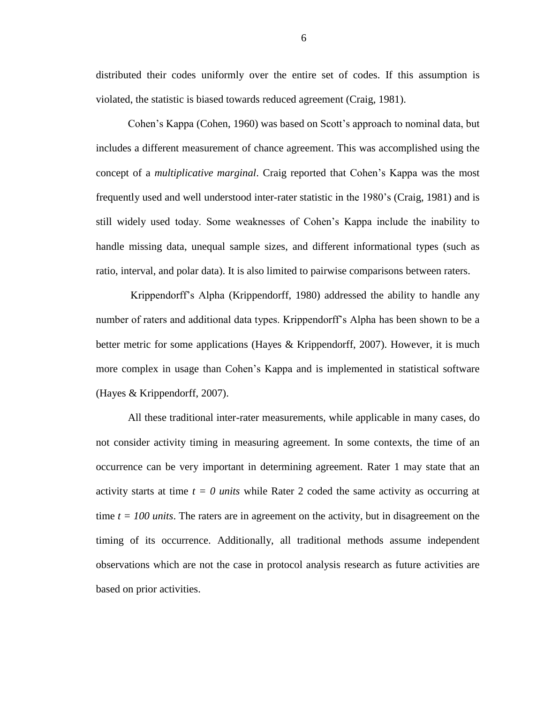distributed their codes uniformly over the entire set of codes. If this assumption is violated, the statistic is biased towards reduced agreement (Craig, 1981).

Cohen's Kappa (Cohen, 1960) was based on Scott's approach to nominal data, but includes a different measurement of chance agreement. This was accomplished using the concept of a *multiplicative marginal*. Craig reported that Cohen's Kappa was the most frequently used and well understood inter-rater statistic in the 1980's (Craig, 1981) and is still widely used today. Some weaknesses of Cohen's Kappa include the inability to handle missing data, unequal sample sizes, and different informational types (such as ratio, interval, and polar data). It is also limited to pairwise comparisons between raters.

Krippendorff's Alpha (Krippendorff, 1980) addressed the ability to handle any number of raters and additional data types. Krippendorff's Alpha has been shown to be a better metric for some applications (Hayes & Krippendorff, 2007). However, it is much more complex in usage than Cohen's Kappa and is implemented in statistical software (Hayes & Krippendorff, 2007).

All these traditional inter-rater measurements, while applicable in many cases, do not consider activity timing in measuring agreement. In some contexts, the time of an occurrence can be very important in determining agreement. Rater 1 may state that an activity starts at time *t = 0 units* while Rater 2 coded the same activity as occurring at time  $t = 100$  *units*. The raters are in agreement on the activity, but in disagreement on the timing of its occurrence. Additionally, all traditional methods assume independent observations which are not the case in protocol analysis research as future activities are based on prior activities.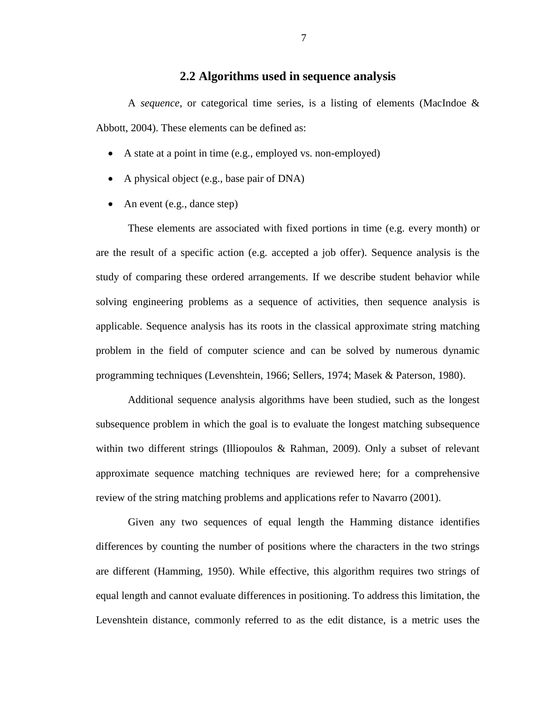### **2.2 Algorithms used in sequence analysis**

<span id="page-13-0"></span>A *sequence*, or categorical time series, is a listing of elements (MacIndoe & Abbott, 2004). These elements can be defined as:

- A state at a point in time (e.g., employed vs. non-employed)
- A physical object (e.g., base pair of DNA)
- An event (e.g., dance step)

These elements are associated with fixed portions in time (e.g. every month) or are the result of a specific action (e.g. accepted a job offer). Sequence analysis is the study of comparing these ordered arrangements. If we describe student behavior while solving engineering problems as a sequence of activities, then sequence analysis is applicable. Sequence analysis has its roots in the classical approximate string matching problem in the field of computer science and can be solved by numerous dynamic programming techniques (Levenshtein, 1966; Sellers, 1974; Masek & Paterson, 1980).

Additional sequence analysis algorithms have been studied, such as the longest subsequence problem in which the goal is to evaluate the longest matching subsequence within two different strings (Illiopoulos & Rahman, 2009). Only a subset of relevant approximate sequence matching techniques are reviewed here; for a comprehensive review of the string matching problems and applications refer to Navarro (2001).

Given any two sequences of equal length the Hamming distance identifies differences by counting the number of positions where the characters in the two strings are different (Hamming, 1950). While effective, this algorithm requires two strings of equal length and cannot evaluate differences in positioning. To address this limitation, the Levenshtein distance, commonly referred to as the edit distance, is a metric uses the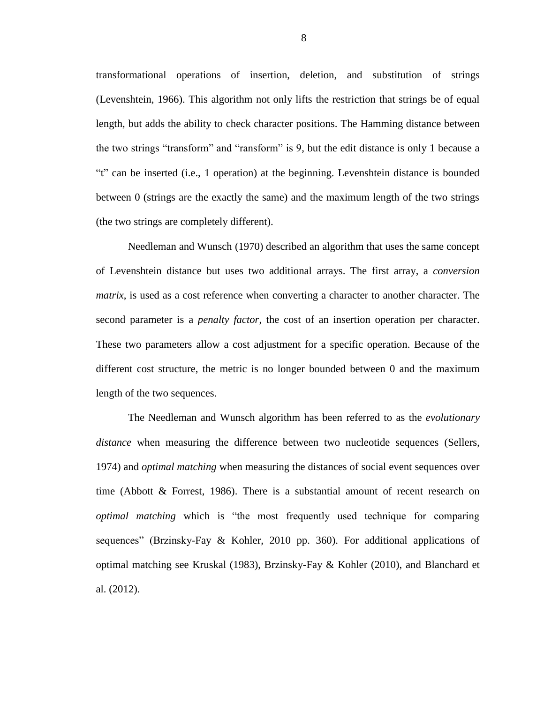transformational operations of insertion, deletion, and substitution of strings (Levenshtein, 1966). This algorithm not only lifts the restriction that strings be of equal length, but adds the ability to check character positions. The Hamming distance between the two strings "transform" and "ransform" is 9, but the edit distance is only 1 because a "t" can be inserted (i.e., 1 operation) at the beginning. Levenshtein distance is bounded between 0 (strings are the exactly the same) and the maximum length of the two strings (the two strings are completely different).

Needleman and Wunsch (1970) described an algorithm that uses the same concept of Levenshtein distance but uses two additional arrays. The first array, a *conversion matrix*, is used as a cost reference when converting a character to another character. The second parameter is a *penalty factor*, the cost of an insertion operation per character. These two parameters allow a cost adjustment for a specific operation. Because of the different cost structure, the metric is no longer bounded between 0 and the maximum length of the two sequences.

The Needleman and Wunsch algorithm has been referred to as the *evolutionary distance* when measuring the difference between two nucleotide sequences (Sellers, 1974) and *optimal matching* when measuring the distances of social event sequences over time (Abbott & Forrest, 1986). There is a substantial amount of recent research on *optimal matching* which is "the most frequently used technique for comparing sequences" (Brzinsky-Fay & Kohler, 2010 pp. 360). For additional applications of optimal matching see Kruskal (1983), Brzinsky-Fay & Kohler (2010), and Blanchard et al. (2012).

8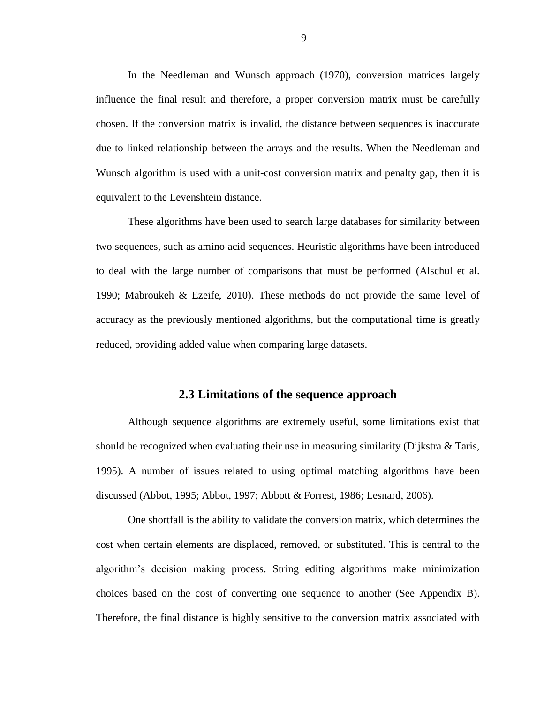In the Needleman and Wunsch approach (1970), conversion matrices largely influence the final result and therefore, a proper conversion matrix must be carefully chosen. If the conversion matrix is invalid, the distance between sequences is inaccurate due to linked relationship between the arrays and the results. When the Needleman and Wunsch algorithm is used with a unit-cost conversion matrix and penalty gap, then it is equivalent to the Levenshtein distance.

These algorithms have been used to search large databases for similarity between two sequences, such as amino acid sequences. Heuristic algorithms have been introduced to deal with the large number of comparisons that must be performed (Alschul et al. 1990; Mabroukeh & Ezeife, 2010). These methods do not provide the same level of accuracy as the previously mentioned algorithms, but the computational time is greatly reduced, providing added value when comparing large datasets.

### **2.3 Limitations of the sequence approach**

<span id="page-15-0"></span>Although sequence algorithms are extremely useful, some limitations exist that should be recognized when evaluating their use in measuring similarity (Dijkstra & Taris, 1995). A number of issues related to using optimal matching algorithms have been discussed (Abbot, 1995; Abbot, 1997; Abbott & Forrest, 1986; Lesnard, 2006).

One shortfall is the ability to validate the conversion matrix, which determines the cost when certain elements are displaced, removed, or substituted. This is central to the algorithm's decision making process. String editing algorithms make minimization choices based on the cost of converting one sequence to another (See Appendix B). Therefore, the final distance is highly sensitive to the conversion matrix associated with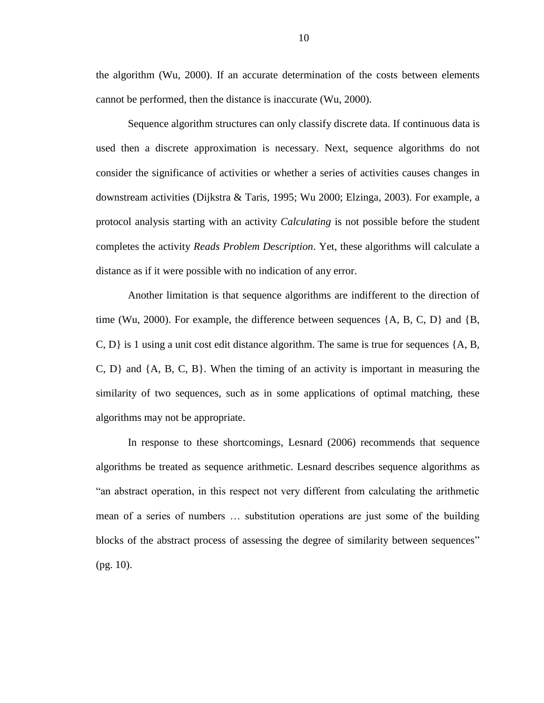the algorithm (Wu, 2000). If an accurate determination of the costs between elements cannot be performed, then the distance is inaccurate (Wu, 2000).

Sequence algorithm structures can only classify discrete data. If continuous data is used then a discrete approximation is necessary. Next, sequence algorithms do not consider the significance of activities or whether a series of activities causes changes in downstream activities (Dijkstra & Taris, 1995; Wu 2000; Elzinga, 2003). For example, a protocol analysis starting with an activity *Calculating* is not possible before the student completes the activity *Reads Problem Description*. Yet, these algorithms will calculate a distance as if it were possible with no indication of any error.

Another limitation is that sequence algorithms are indifferent to the direction of time (Wu, 2000). For example, the difference between sequences  $\{A, B, C, D\}$  and  $\{B,$ C,  $D$  is 1 using a unit cost edit distance algorithm. The same is true for sequences  $\{A, B, \}$ C, D} and {A, B, C, B}. When the timing of an activity is important in measuring the similarity of two sequences, such as in some applications of optimal matching, these algorithms may not be appropriate.

In response to these shortcomings, Lesnard (2006) recommends that sequence algorithms be treated as sequence arithmetic. Lesnard describes sequence algorithms as "an abstract operation, in this respect not very different from calculating the arithmetic mean of a series of numbers … substitution operations are just some of the building blocks of the abstract process of assessing the degree of similarity between sequences" (pg. 10).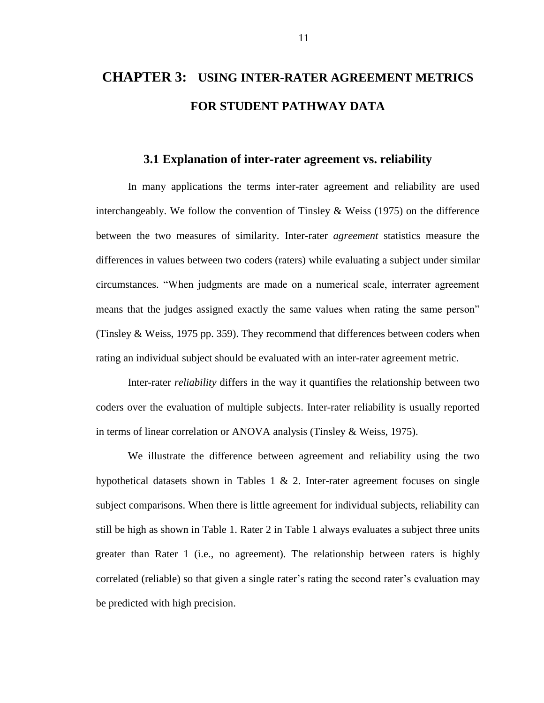# <span id="page-17-0"></span>**CHAPTER 3: USING INTER-RATER AGREEMENT METRICS FOR STUDENT PATHWAY DATA**

### **3.1 Explanation of inter-rater agreement vs. reliability**

<span id="page-17-1"></span>In many applications the terms inter-rater agreement and reliability are used interchangeably. We follow the convention of Tinsley & Weiss (1975) on the difference between the two measures of similarity. Inter-rater *agreement* statistics measure the differences in values between two coders (raters) while evaluating a subject under similar circumstances. "When judgments are made on a numerical scale, interrater agreement means that the judges assigned exactly the same values when rating the same person" (Tinsley & Weiss, 1975 pp. 359). They recommend that differences between coders when rating an individual subject should be evaluated with an inter-rater agreement metric.

Inter-rater *reliability* differs in the way it quantifies the relationship between two coders over the evaluation of multiple subjects. Inter-rater reliability is usually reported in terms of linear correlation or ANOVA analysis (Tinsley & Weiss, 1975).

We illustrate the difference between agreement and reliability using the two hypothetical datasets shown in Tables 1  $\&$  2. Inter-rater agreement focuses on single subject comparisons. When there is little agreement for individual subjects, reliability can still be high as shown in Table 1. Rater 2 in Table 1 always evaluates a subject three units greater than Rater 1 (i.e., no agreement). The relationship between raters is highly correlated (reliable) so that given a single rater's rating the second rater's evaluation may be predicted with high precision.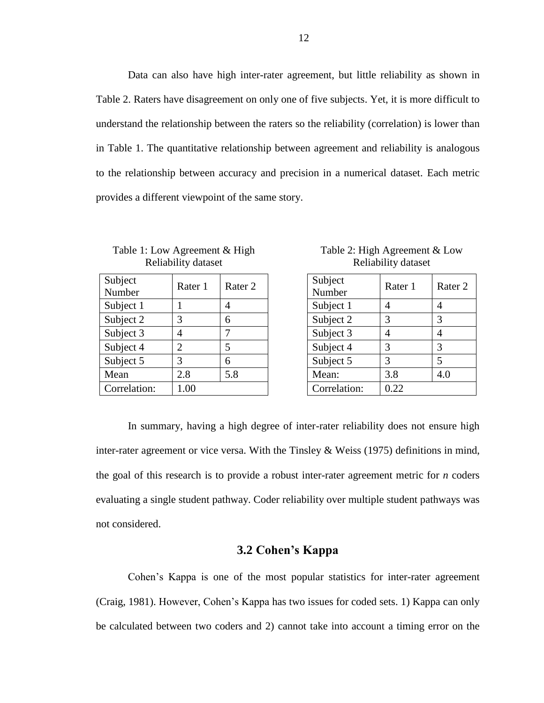Data can also have high inter-rater agreement, but little reliability as shown in Table 2. Raters have disagreement on only one of five subjects. Yet, it is more difficult to understand the relationship between the raters so the reliability (correlation) is lower than in Table 1. The quantitative relationship between agreement and reliability is analogous to the relationship between accuracy and precision in a numerical dataset. Each metric provides a different viewpoint of the same story.

<span id="page-18-1"></span>Table 1: Low Agreement & High Reliability dataset

| Subject<br>Number | Rater 1 | Rater 2 |
|-------------------|---------|---------|
| Subject 1         |         |         |
| Subject 2         | 3       | 6       |
| Subject 3         |         | 7       |
| Subject 4         | 2       | 5       |
| Subject 5         | 3       | 6       |
| Mean              | 2.8     | 5.8     |
| Correlation:      | 1.00    |         |

<span id="page-18-2"></span>Table 2: High Agreement & Low Reliability dataset

| Subject<br>Number | Rater 1 | Rater <sub>2</sub> |
|-------------------|---------|--------------------|
| Subject 1         |         |                    |
| Subject 2         | 3       | 3                  |
| Subject 3         |         |                    |
| Subject 4         | 3       | 3                  |
| Subject 5         | 3       | 5                  |
| Mean:             | 3.8     | 4.0                |
| Correlation:      | 0.22    |                    |

In summary, having a high degree of inter-rater reliability does not ensure high inter-rater agreement or vice versa. With the Tinsley & Weiss (1975) definitions in mind, the goal of this research is to provide a robust inter-rater agreement metric for *n* coders evaluating a single student pathway. Coder reliability over multiple student pathways was not considered.

### **3.2 Cohen's Kappa**

<span id="page-18-0"></span>Cohen's Kappa is one of the most popular statistics for inter-rater agreement (Craig, 1981). However, Cohen's Kappa has two issues for coded sets. 1) Kappa can only be calculated between two coders and 2) cannot take into account a timing error on the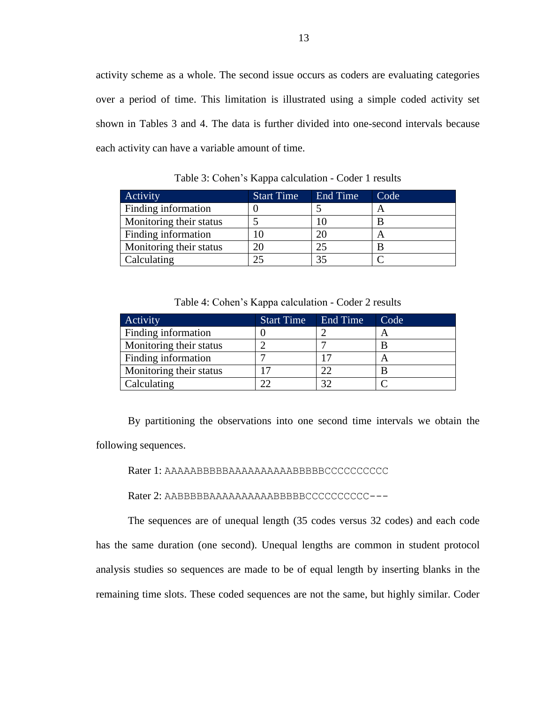activity scheme as a whole. The second issue occurs as coders are evaluating categories over a period of time. This limitation is illustrated using a simple coded activity set shown in Tables 3 and 4. The data is further divided into one-second intervals because each activity can have a variable amount of time.

<span id="page-19-0"></span>Activity **Start Time** End Time Code Finding information  $\begin{array}{|c|c|c|c|c|c|c|c|c|} \hline 0 & 5 & A \ \hline \end{array}$ Monitoring their status  $\begin{array}{|c|c|c|c|c|} \hline 5 & 10 & \text{B} \ \hline \end{array}$ Finding information  $\begin{vmatrix} 10 \\ 20 \\ 1 \end{vmatrix}$   $\begin{vmatrix} 20 \\ 4 \end{vmatrix}$ Monitoring their status  $\begin{array}{|c|c|c|c|c|c|c|c|c|} \hline \end{array}$  25  $\begin{array}{|c|c|c|c|c|c|c|c|c|} \hline \end{array}$ Calculating  $\begin{array}{ccc} \vert & 25 \end{array}$   $\begin{array}{ccc} \vert & 35 \end{array}$   $\begin{array}{ccc} \vert & C \end{array}$ 

Table 3: Cohen's Kappa calculation - Coder 1 results

|  | Table 4: Cohen's Kappa calculation - Coder 2 results |
|--|------------------------------------------------------|
|--|------------------------------------------------------|

<span id="page-19-1"></span>

| Activity                | <b>Start Time</b> | End Time | Code |
|-------------------------|-------------------|----------|------|
| Finding information     |                   |          |      |
| Monitoring their status |                   |          |      |
| Finding information     |                   |          | A    |
| Monitoring their status |                   | 22       |      |
| Calculating             | າາ                | 37       |      |

By partitioning the observations into one second time intervals we obtain the following sequences.

Rater 1: AAAAABBBBBAAAAAAAAAABBBBBCCCCCCCCCC

Rater 2: AABBBBBAAAAAAAAAABBBBBCCCCCCCCCC---

The sequences are of unequal length (35 codes versus 32 codes) and each code has the same duration (one second). Unequal lengths are common in student protocol analysis studies so sequences are made to be of equal length by inserting blanks in the remaining time slots. These coded sequences are not the same, but highly similar. Coder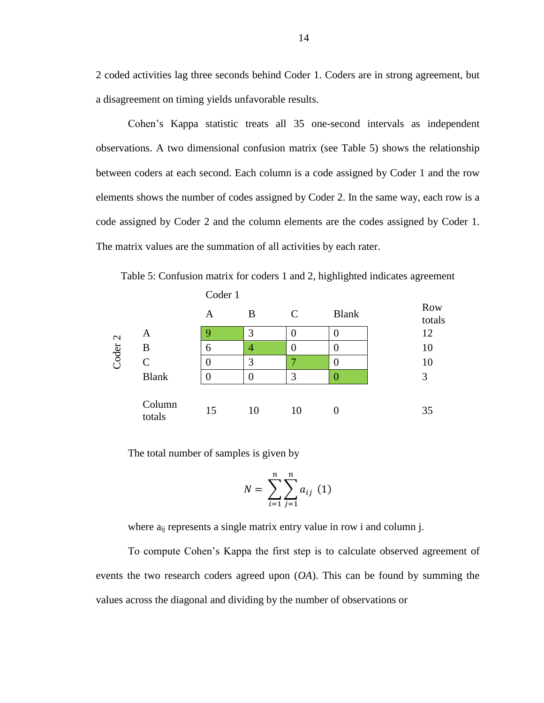2 coded activities lag three seconds behind Coder 1. Coders are in strong agreement, but a disagreement on timing yields unfavorable results.

Cohen's Kappa statistic treats all 35 one-second intervals as independent observations. A two dimensional confusion matrix (see Table 5) shows the relationship between coders at each second. Each column is a code assigned by Coder 1 and the row elements shows the number of codes assigned by Coder 2. In the same way, each row is a code assigned by Coder 2 and the column elements are the codes assigned by Coder 1. The matrix values are the summation of all activities by each rater.

<span id="page-20-0"></span>Table 5: Confusion matrix for coders 1 and 2, highlighted indicates agreement Coder 1

|                   |                  | A  | B  | C  | <b>Blank</b> | <b>Row</b><br>totals |
|-------------------|------------------|----|----|----|--------------|----------------------|
| $\mathbf{\Omega}$ | A                | 9  | 3  |    |              | 12                   |
|                   | B                | 6  | 4  |    |              | 10                   |
| Coder             | C                |    | 3  | 7  | 0            | 10                   |
|                   | <b>Blank</b>     |    |    | 3  | 0            | 3                    |
|                   | Column<br>totals | 15 | 10 | 10 |              | 35                   |

The total number of samples is given by

$$
N = \sum_{i=1}^{n} \sum_{j=1}^{n} a_{ij} \ (1)
$$

where  $a_{ii}$  represents a single matrix entry value in row i and column j.

To compute Cohen's Kappa the first step is to calculate observed agreement of events the two research coders agreed upon (*OA*). This can be found by summing the values across the diagonal and dividing by the number of observations or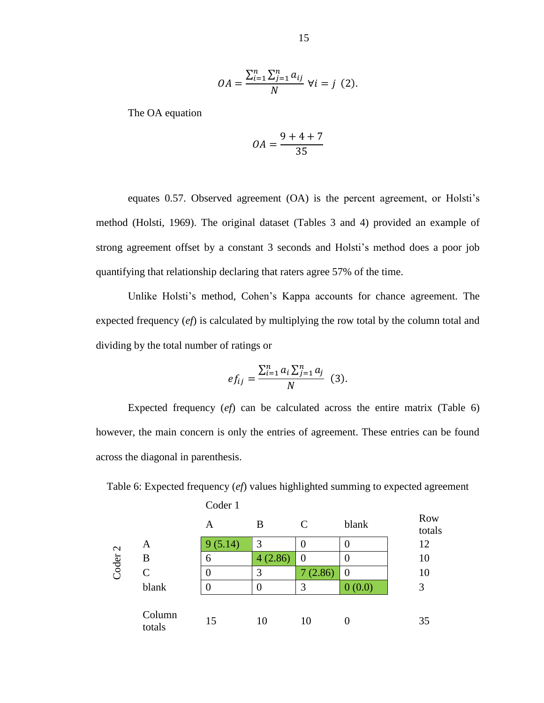$$
OA = \frac{\sum_{i=1}^{n} \sum_{j=1}^{n} a_{ij}}{N} \ \forall i = j \ (2).
$$

The OA equation

$$
OA = \frac{9+4+7}{35}
$$

equates 0.57. Observed agreement (OA) is the percent agreement, or Holsti's method (Holsti, 1969). The original dataset (Tables 3 and 4) provided an example of strong agreement offset by a constant 3 seconds and Holsti's method does a poor job quantifying that relationship declaring that raters agree 57% of the time.

Unlike Holsti's method, Cohen's Kappa accounts for chance agreement. The expected frequency (*ef*) is calculated by multiplying the row total by the column total and dividing by the total number of ratings or

$$
ef_{ij} = \frac{\sum_{i=1}^{n} a_i \sum_{j=1}^{n} a_j}{N}
$$
 (3).

Expected frequency (*ef*) can be calculated across the entire matrix (Table 6) however, the main concern is only the entries of agreement. These entries can be found across the diagonal in parenthesis.

<span id="page-21-0"></span>Table 6: Expected frequency (*ef*) values highlighted summing to expected agreement Coder 1

|                   |                  | А      | B       | $\mathcal{C}$ | blank  | <b>Row</b><br>totals |
|-------------------|------------------|--------|---------|---------------|--------|----------------------|
| $\mathbf{\Omega}$ | A                | (5.14) | 3       |               | O      | 12                   |
|                   | B                | 6      | 4(2.86) | $\theta$      |        | 10                   |
| Coder             | $\mathsf{C}$     |        | 3       | (2.86)        |        | 10                   |
|                   | blank            |        | 0       | 3             | 0(0.0) | 3                    |
|                   | Column<br>totals | 15     | 10      | 10            |        | 35                   |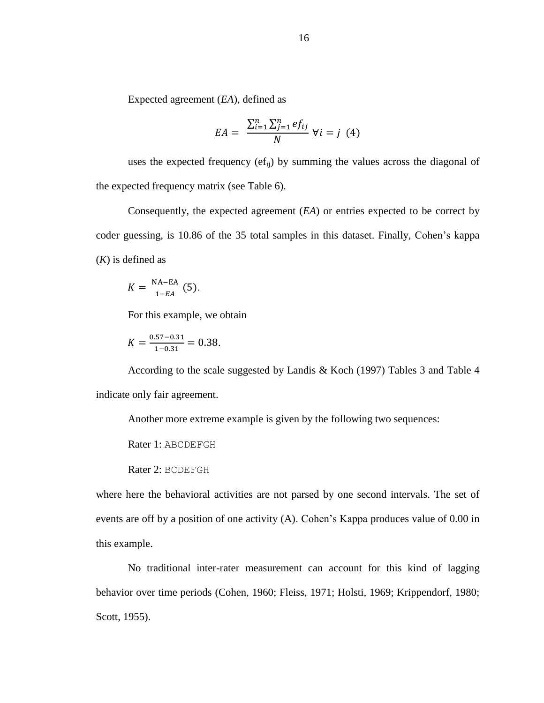Expected agreement (*EA*), defined as

$$
EA = \frac{\sum_{i=1}^{n} \sum_{j=1}^{n} ef_{ij}}{N} \ \forall i = j \ (4)
$$

uses the expected frequency  $(\epsilon f_{ii})$  by summing the values across the diagonal of the expected frequency matrix (see Table 6).

Consequently, the expected agreement (*EA*) or entries expected to be correct by coder guessing, is 10.86 of the 35 total samples in this dataset. Finally, Cohen's kappa (*K*) is defined as

$$
K = \frac{\text{NA-EA}}{1 - EA} \tag{5}.
$$

For this example, we obtain

$$
K = \frac{0.57 - 0.31}{1 - 0.31} = 0.38.
$$

According to the scale suggested by Landis & Koch (1997) Tables 3 and Table 4 indicate only fair agreement.

Another more extreme example is given by the following two sequences:

Rater 1: ABCDEFGH

Rater 2: BCDEFGH

where here the behavioral activities are not parsed by one second intervals. The set of events are off by a position of one activity (A). Cohen's Kappa produces value of 0.00 in this example.

No traditional inter-rater measurement can account for this kind of lagging behavior over time periods (Cohen, 1960; Fleiss, 1971; Holsti, 1969; Krippendorf, 1980; Scott, 1955).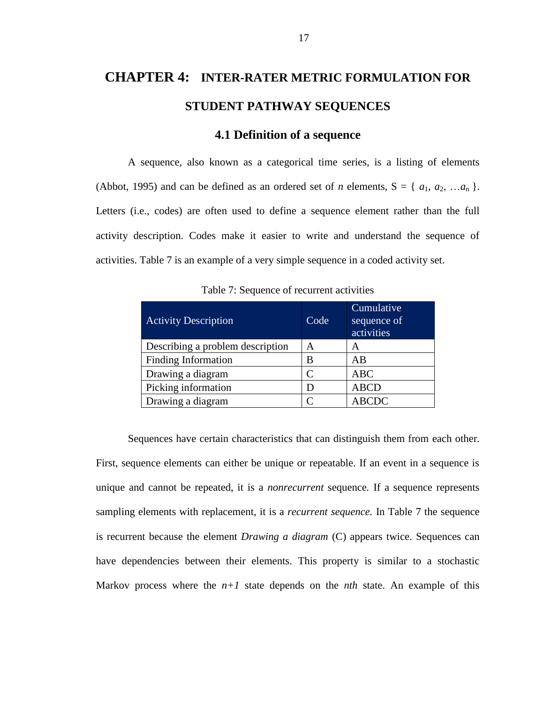# <span id="page-23-0"></span>**CHAPTER 4: INTER-RATER METRIC FORMULATION FOR STUDENT PATHWAY SEQUENCES**

### **4.1 Definition of a sequence**

<span id="page-23-1"></span>A sequence, also known as a categorical time series, is a listing of elements (Abbot, 1995) and can be defined as an ordered set of *n* elements,  $S = \{a_1, a_2, ... a_n\}$ . Letters (i.e., codes) are often used to define a sequence element rather than the full activity description. Codes make it easier to write and understand the sequence of activities. Table 7 is an example of a very simple sequence in a coded activity set.

<span id="page-23-2"></span>

| <b>Activity Description</b>      | Code | Cumulative<br>sequence of<br>activities |
|----------------------------------|------|-----------------------------------------|
| Describing a problem description | А    | A                                       |
| <b>Finding Information</b>       | B    | AB                                      |
| Drawing a diagram                |      | <b>ABC</b>                              |
| Picking information              |      | <b>ABCD</b>                             |
| Drawing a diagram                |      | <b>ABCDC</b>                            |

Table 7: Sequence of recurrent activities

Sequences have certain characteristics that can distinguish them from each other. First, sequence elements can either be unique or repeatable. If an event in a sequence is unique and cannot be repeated, it is a *nonrecurrent* sequence*.* If a sequence represents sampling elements with replacement, it is a *recurrent sequence.* In Table 7 the sequence is recurrent because the element *Drawing a diagram* (C) appears twice. Sequences can have dependencies between their elements. This property is similar to a stochastic Markov process where the  $n+1$  state depends on the *nth* state. An example of this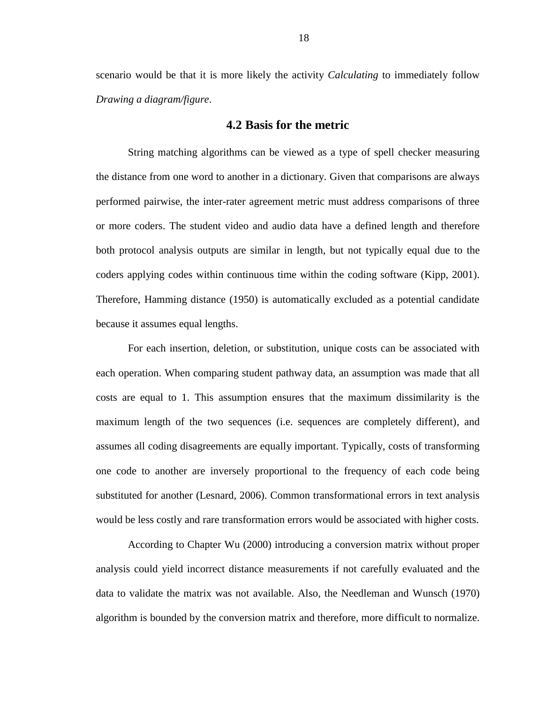scenario would be that it is more likely the activity *Calculating* to immediately follow *Drawing a diagram/figure*.

#### **4.2 Basis for the metric**

<span id="page-24-0"></span>String matching algorithms can be viewed as a type of spell checker measuring the distance from one word to another in a dictionary. Given that comparisons are always performed pairwise, the inter-rater agreement metric must address comparisons of three or more coders. The student video and audio data have a defined length and therefore both protocol analysis outputs are similar in length, but not typically equal due to the coders applying codes within continuous time within the coding software (Kipp, 2001). Therefore, Hamming distance (1950) is automatically excluded as a potential candidate because it assumes equal lengths.

For each insertion, deletion, or substitution, unique costs can be associated with each operation. When comparing student pathway data, an assumption was made that all costs are equal to 1. This assumption ensures that the maximum dissimilarity is the maximum length of the two sequences (i.e. sequences are completely different), and assumes all coding disagreements are equally important. Typically, costs of transforming one code to another are inversely proportional to the frequency of each code being substituted for another (Lesnard, 2006). Common transformational errors in text analysis would be less costly and rare transformation errors would be associated with higher costs.

According to Chapter Wu (2000) introducing a conversion matrix without proper analysis could yield incorrect distance measurements if not carefully evaluated and the data to validate the matrix was not available. Also, the Needleman and Wunsch (1970) algorithm is bounded by the conversion matrix and therefore, more difficult to normalize.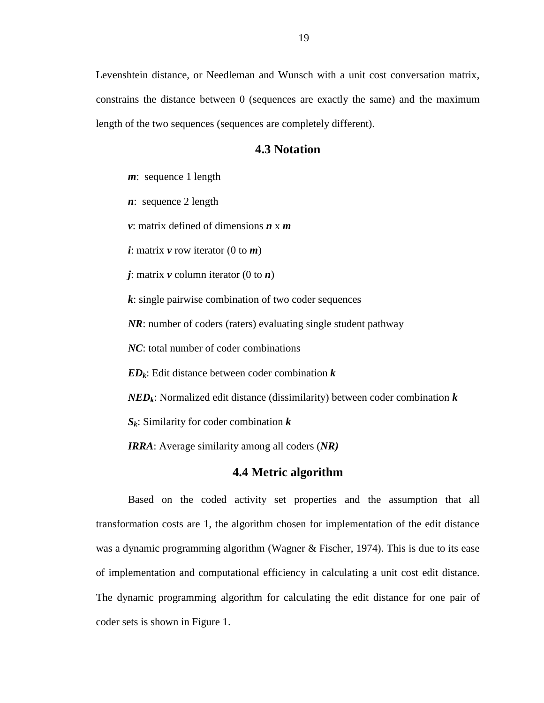Levenshtein distance, or Needleman and Wunsch with a unit cost conversation matrix, constrains the distance between 0 (sequences are exactly the same) and the maximum length of the two sequences (sequences are completely different).

### **4.3 Notation**

<span id="page-25-0"></span>*m*: sequence 1 length

*n*: sequence 2 length

*v*: matrix defined of dimensions *n* x *m*

*i*: matrix *v* row iterator (0 to *m*)

 $j$ : matrix  $v$  column iterator (0 to  $n$ )

*k*: single pairwise combination of two coder sequences

*NR*: number of coders (raters) evaluating single student pathway

*NC*: total number of coder combinations

*EDk*: Edit distance between coder combination *k*

*NEDk*: Normalized edit distance (dissimilarity) between coder combination *k*

*Sk*: Similarity for coder combination *k*

*IRRA*: Average similarity among all coders (*NR)*

### **4.4 Metric algorithm**

<span id="page-25-1"></span>Based on the coded activity set properties and the assumption that all transformation costs are 1, the algorithm chosen for implementation of the edit distance was a dynamic programming algorithm (Wagner & Fischer, 1974). This is due to its ease of implementation and computational efficiency in calculating a unit cost edit distance. The dynamic programming algorithm for calculating the edit distance for one pair of coder sets is shown in Figure 1.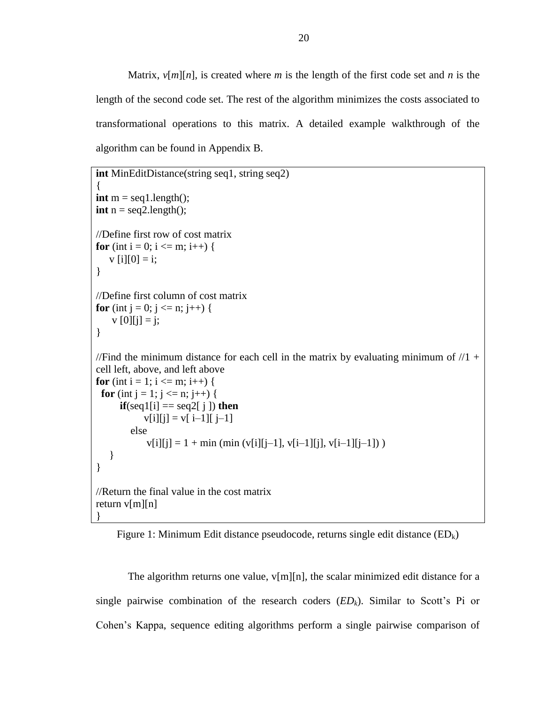Matrix,  $v[m][n]$ , is created where *m* is the length of the first code set and *n* is the length of the second code set. The rest of the algorithm minimizes the costs associated to transformational operations to this matrix. A detailed example walkthrough of the algorithm can be found in Appendix B.

```
int MinEditDistance(string seq1, string seq2)
{
int m = \text{seq1.length}.
int n = \text{seq2.length}.
//Define first row of cost matrix
for (int i = 0; i <= m; i++) {
   v[i][0] = i;}
//Define first column of cost matrix
for (int j = 0; j \le n; j++) {
    \overline{v} [0][j] = j;
}
//Find the minimum distance for each cell in the matrix by evaluating minimum of /1 +cell left, above, and left above 
for (int i = 1; i <= m; i++) {
 for (int j = 1; j <= n; j++) {
      \mathbf{if}(\text{seq1}[i] == \text{seq2}[i]) then
            v[i][j] = v[i-1][j-1] else 
             v[i][j] = 1 + min (min (v[i][j-1], v[i-1][j], v[i-1][j-1])) }
}
//Return the final value in the cost matrix
return v[m][n]
}
```
<span id="page-26-0"></span>Figure 1: Minimum Edit distance pseudocode, returns single edit distance  $(ED_k)$ 

The algorithm returns one value,  $v[m][n]$ , the scalar minimized edit distance for a single pairwise combination of the research coders  $(ED_k)$ . Similar to Scott's Pi or Cohen's Kappa, sequence editing algorithms perform a single pairwise comparison of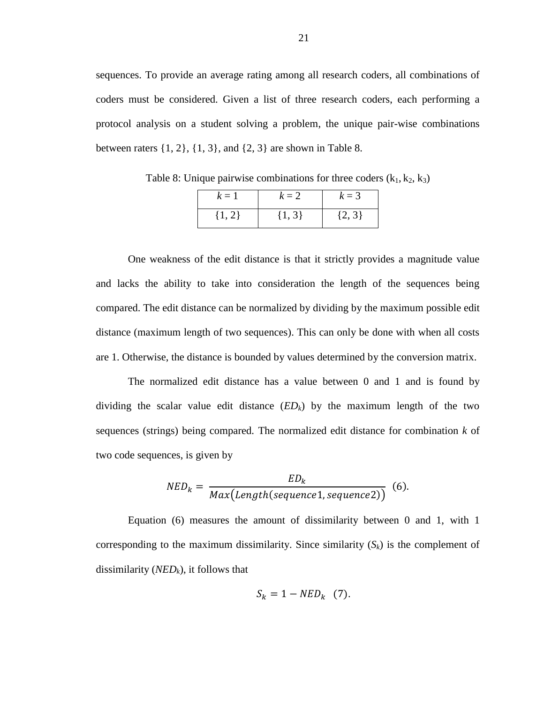sequences. To provide an average rating among all research coders, all combinations of coders must be considered. Given a list of three research coders, each performing a protocol analysis on a student solving a problem, the unique pair-wise combinations between raters  $\{1, 2\}, \{1, 3\},$  and  $\{2, 3\}$  are shown in Table 8.

| $k=1$      | $k=2$      | $k=3$      |
|------------|------------|------------|
| $\{1, 2\}$ | $\{1, 3\}$ | $\{2, 3\}$ |

<span id="page-27-0"></span>Table 8: Unique pairwise combinations for three coders  $(k_1, k_2, k_3)$ 

One weakness of the edit distance is that it strictly provides a magnitude value and lacks the ability to take into consideration the length of the sequences being compared. The edit distance can be normalized by dividing by the maximum possible edit distance (maximum length of two sequences). This can only be done with when all costs are 1. Otherwise, the distance is bounded by values determined by the conversion matrix.

The normalized edit distance has a value between 0 and 1 and is found by dividing the scalar value edit distance (*EDk*) by the maximum length of the two sequences (strings) being compared. The normalized edit distance for combination *k* of two code sequences, is given by

$$
NED_k = \frac{ED_k}{Max(Length(sequence1, sequence2))}
$$
 (6).

Equation (6) measures the amount of dissimilarity between 0 and 1, with 1 corresponding to the maximum dissimilarity. Since similarity  $(S_k)$  is the complement of dissimilarity (*NEDk*), it follows that

$$
S_k = 1 - NED_k \quad (7).
$$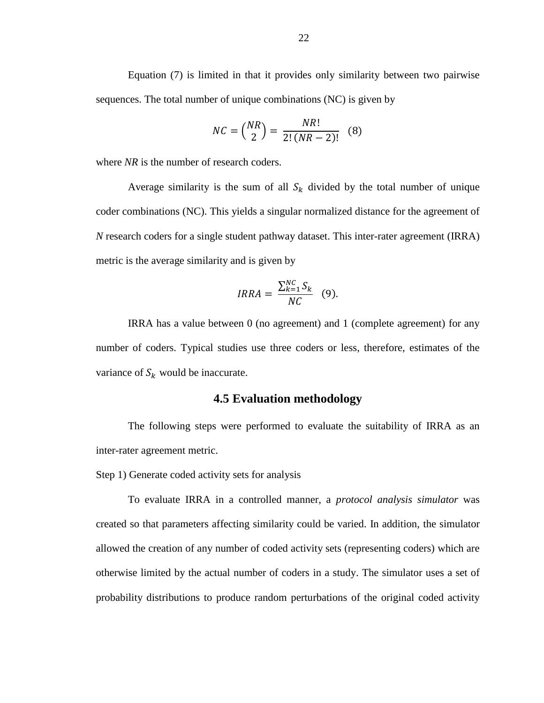Equation (7) is limited in that it provides only similarity between two pairwise sequences. The total number of unique combinations (NC) is given by

$$
NC = \binom{NR}{2} = \frac{NR!}{2!(NR-2)!} \quad (8)
$$

where *NR* is the number of research coders.

Average similarity is the sum of all  $S_k$  divided by the total number of unique coder combinations (NC). This yields a singular normalized distance for the agreement of *N* research coders for a single student pathway dataset. This inter-rater agreement (IRRA) metric is the average similarity and is given by

$$
IRRA = \frac{\sum_{k=1}^{NC} S_k}{NC} \quad (9).
$$

IRRA has a value between 0 (no agreement) and 1 (complete agreement) for any number of coders. Typical studies use three coders or less, therefore, estimates of the variance of  $S_k$  would be inaccurate.

### **4.5 Evaluation methodology**

<span id="page-28-0"></span>The following steps were performed to evaluate the suitability of IRRA as an inter-rater agreement metric.

Step 1) Generate coded activity sets for analysis

To evaluate IRRA in a controlled manner, a *protocol analysis simulator* was created so that parameters affecting similarity could be varied. In addition, the simulator allowed the creation of any number of coded activity sets (representing coders) which are otherwise limited by the actual number of coders in a study. The simulator uses a set of probability distributions to produce random perturbations of the original coded activity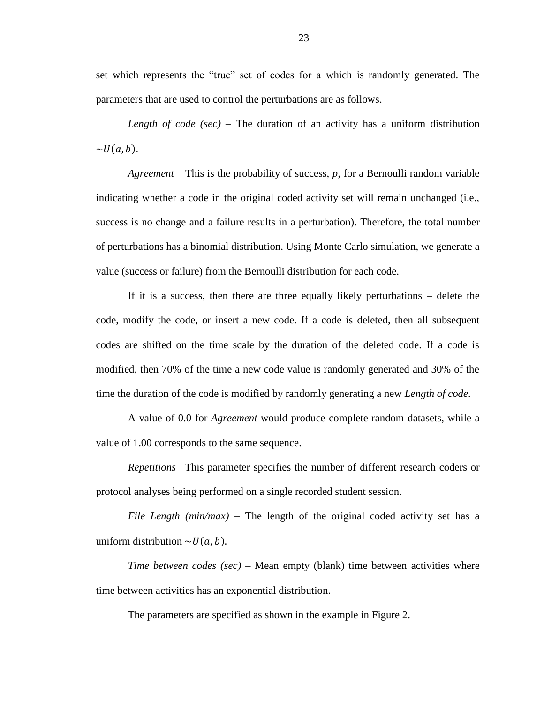set which represents the "true" set of codes for a which is randomly generated. The parameters that are used to control the perturbations are as follows.

*Length of code (sec)* – The duration of an activity has a uniform distribution  $\sim U(a, b)$ .

*Agreement* – This is the probability of success, *p,* for a Bernoulli random variable indicating whether a code in the original coded activity set will remain unchanged (i.e., success is no change and a failure results in a perturbation). Therefore, the total number of perturbations has a binomial distribution. Using Monte Carlo simulation, we generate a value (success or failure) from the Bernoulli distribution for each code.

If it is a success, then there are three equally likely perturbations – delete the code, modify the code, or insert a new code. If a code is deleted, then all subsequent codes are shifted on the time scale by the duration of the deleted code. If a code is modified, then 70% of the time a new code value is randomly generated and 30% of the time the duration of the code is modified by randomly generating a new *Length of code*.

A value of 0.0 for *Agreement* would produce complete random datasets, while a value of 1.00 corresponds to the same sequence.

*Repetitions* –This parameter specifies the number of different research coders or protocol analyses being performed on a single recorded student session.

*File Length (min/max)* – The length of the original coded activity set has a uniform distribution  $\sim U(a, b)$ .

*Time between codes (sec)* – Mean empty (blank) time between activities where time between activities has an exponential distribution.

The parameters are specified as shown in the example in Figure 2.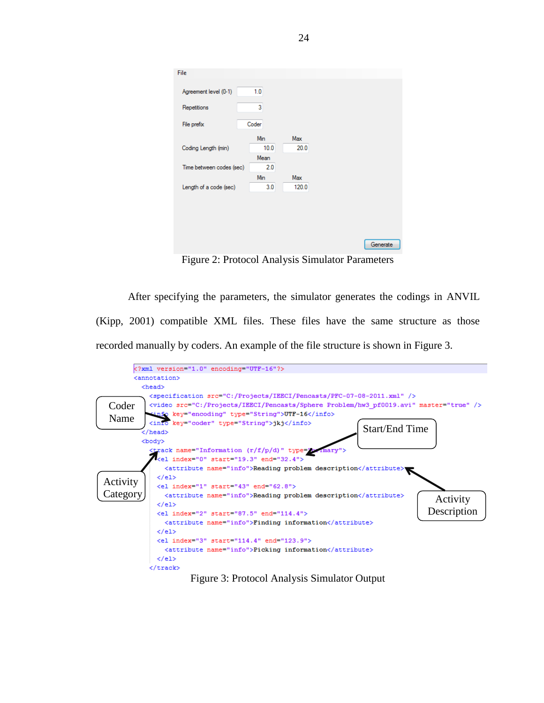| Agreement level (0-1)<br>Repetitions | 1.0<br>3 |       |  |
|--------------------------------------|----------|-------|--|
|                                      |          |       |  |
|                                      |          |       |  |
| File prefix                          | Coder    |       |  |
|                                      | Min      | Max   |  |
| Coding Length (min)                  | 10.0     | 20.0  |  |
|                                      | Mean     |       |  |
| Time between codes (sec)             | 2.0      |       |  |
|                                      | Min      | Max   |  |
| Length of a code (sec)               | 3.0      | 120.0 |  |

Figure 2: Protocol Analysis Simulator Parameters

<span id="page-30-0"></span>After specifying the parameters, the simulator generates the codings in ANVIL (Kipp, 2001) compatible XML files. These files have the same structure as those recorded manually by coders. An example of the file structure is shown in Figure 3.

<span id="page-30-1"></span>

Figure 3: Protocol Analysis Simulator Output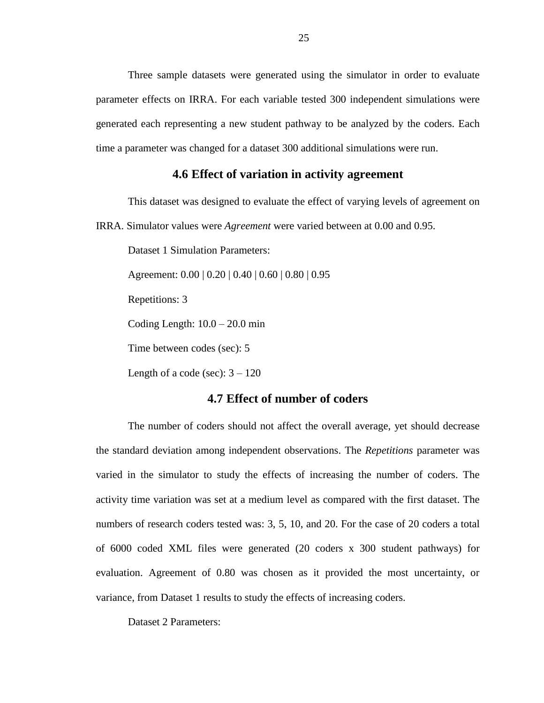Three sample datasets were generated using the simulator in order to evaluate parameter effects on IRRA. For each variable tested 300 independent simulations were generated each representing a new student pathway to be analyzed by the coders. Each time a parameter was changed for a dataset 300 additional simulations were run.

### **4.6 Effect of variation in activity agreement**

<span id="page-31-0"></span>This dataset was designed to evaluate the effect of varying levels of agreement on

IRRA. Simulator values were *Agreement* were varied between at 0.00 and 0.95.

Dataset 1 Simulation Parameters:

Agreement: 0.00 | 0.20 | 0.40 | 0.60 | 0.80 | 0.95

Repetitions: 3

Coding Length:  $10.0 - 20.0$  min

Time between codes (sec): 5

Length of a code (sec):  $3 - 120$ 

### **4.7 Effect of number of coders**

<span id="page-31-1"></span>The number of coders should not affect the overall average, yet should decrease the standard deviation among independent observations. The *Repetitions* parameter was varied in the simulator to study the effects of increasing the number of coders. The activity time variation was set at a medium level as compared with the first dataset. The numbers of research coders tested was: 3, 5, 10, and 20. For the case of 20 coders a total of 6000 coded XML files were generated (20 coders x 300 student pathways) for evaluation. Agreement of 0.80 was chosen as it provided the most uncertainty, or variance, from Dataset 1 results to study the effects of increasing coders.

Dataset 2 Parameters: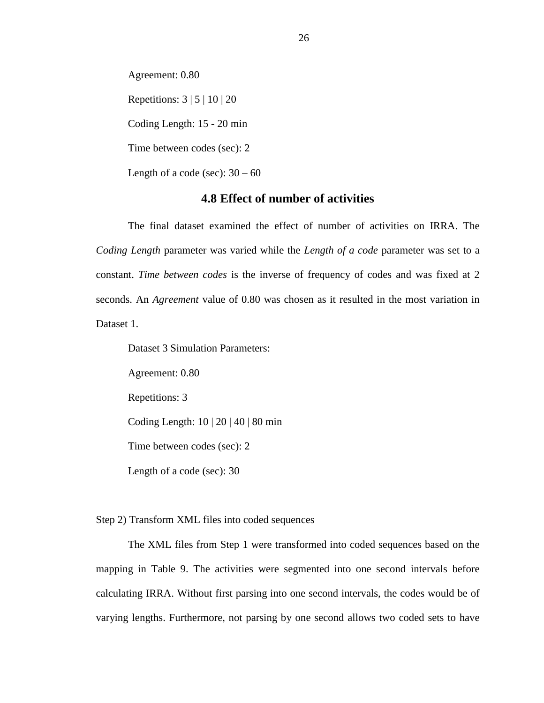Agreement: 0.80 Repetitions:  $3 \mid 5 \mid 10 \mid 20$ Coding Length: 15 - 20 min Time between codes (sec): 2 Length of a code (sec):  $30 - 60$ 

### **4.8 Effect of number of activities**

<span id="page-32-0"></span>The final dataset examined the effect of number of activities on IRRA. The *Coding Length* parameter was varied while the *Length of a code* parameter was set to a constant. *Time between codes* is the inverse of frequency of codes and was fixed at 2 seconds. An *Agreement* value of 0.80 was chosen as it resulted in the most variation in Dataset 1.

Dataset 3 Simulation Parameters:

Agreement: 0.80

Repetitions: 3

Coding Length: 10 | 20 | 40 | 80 min

Time between codes (sec): 2

Length of a code (sec): 30

Step 2) Transform XML files into coded sequences

The XML files from Step 1 were transformed into coded sequences based on the mapping in Table 9. The activities were segmented into one second intervals before calculating IRRA. Without first parsing into one second intervals, the codes would be of varying lengths. Furthermore, not parsing by one second allows two coded sets to have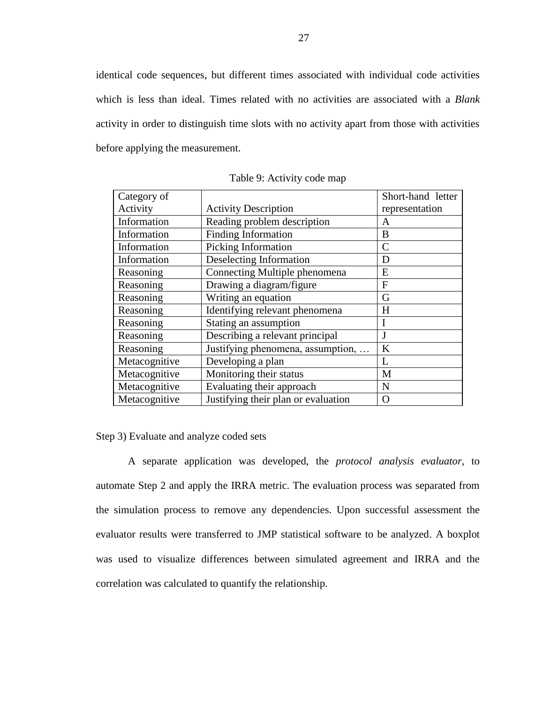identical code sequences, but different times associated with individual code activities which is less than ideal. Times related with no activities are associated with a *Blank* activity in order to distinguish time slots with no activity apart from those with activities before applying the measurement.

<span id="page-33-0"></span>

| Category of   |                                     | Short-hand letter |
|---------------|-------------------------------------|-------------------|
| Activity      | <b>Activity Description</b>         | representation    |
| Information   | Reading problem description         | Α                 |
| Information   | Finding Information                 | B                 |
| Information   | Picking Information                 | $\mathcal{C}$     |
| Information   | Deselecting Information             | D                 |
| Reasoning     | Connecting Multiple phenomena       | E                 |
| Reasoning     | Drawing a diagram/figure            | F                 |
| Reasoning     | Writing an equation                 | G                 |
| Reasoning     | Identifying relevant phenomena      | $H_{\rm}$         |
| Reasoning     | Stating an assumption               | I                 |
| Reasoning     | Describing a relevant principal     | J                 |
| Reasoning     | Justifying phenomena, assumption,   | $\bf K$           |
| Metacognitive | Developing a plan                   | L                 |
| Metacognitive | Monitoring their status             | M                 |
| Metacognitive | Evaluating their approach           | N                 |
| Metacognitive | Justifying their plan or evaluation | $\overline{O}$    |

Table 9: Activity code map

Step 3) Evaluate and analyze coded sets

A separate application was developed, the *protocol analysis evaluator*, to automate Step 2 and apply the IRRA metric. The evaluation process was separated from the simulation process to remove any dependencies. Upon successful assessment the evaluator results were transferred to JMP statistical software to be analyzed. A boxplot was used to visualize differences between simulated agreement and IRRA and the correlation was calculated to quantify the relationship.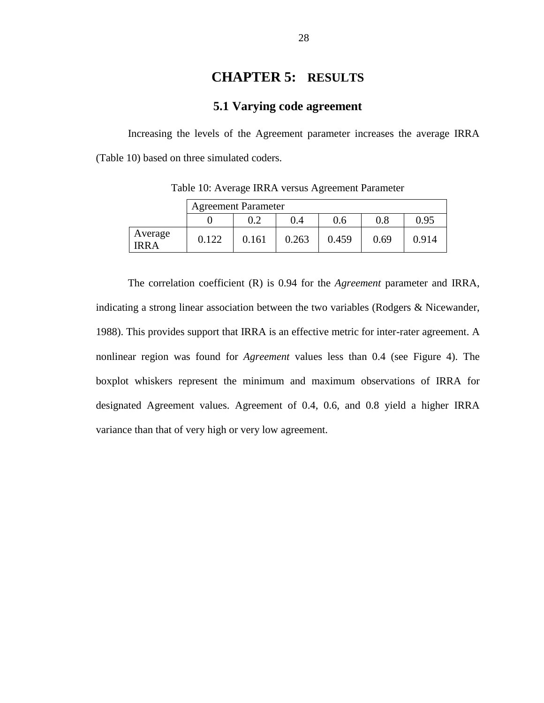## **CHAPTER 5: RESULTS**

### **5.1 Varying code agreement**

<span id="page-34-1"></span><span id="page-34-0"></span>Increasing the levels of the Agreement parameter increases the average IRRA (Table 10) based on three simulated coders.

<span id="page-34-2"></span>

|                  |       | <b>Agreement Parameter</b> |       |       |      |       |
|------------------|-------|----------------------------|-------|-------|------|-------|
|                  |       | $0.2\,$                    | 0.4   | 0.6   | 0.8  | 0.95  |
| Average<br>IRR A | 0.122 | 0.161                      | 0.263 | 0.459 | 0.69 | 0.914 |

Table 10: Average IRRA versus Agreement Parameter

The correlation coefficient (R) is 0.94 for the *Agreement* parameter and IRRA, indicating a strong linear association between the two variables (Rodgers & Nicewander, 1988). This provides support that IRRA is an effective metric for inter-rater agreement. A nonlinear region was found for *Agreement* values less than 0.4 (see Figure 4). The boxplot whiskers represent the minimum and maximum observations of IRRA for designated Agreement values. Agreement of 0.4, 0.6, and 0.8 yield a higher IRRA variance than that of very high or very low agreement.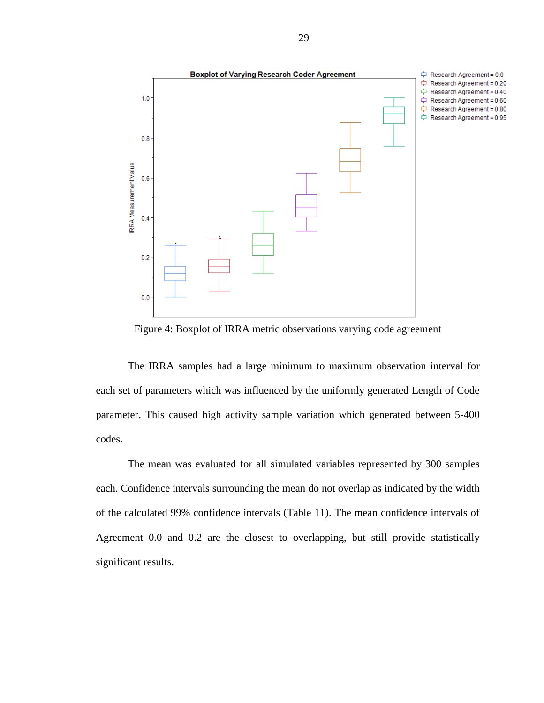

Figure 4: Boxplot of IRRA metric observations varying code agreement

<span id="page-35-0"></span>The IRRA samples had a large minimum to maximum observation interval for each set of parameters which was influenced by the uniformly generated Length of Code parameter. This caused high activity sample variation which generated between 5-400 codes.

The mean was evaluated for all simulated variables represented by 300 samples each. Confidence intervals surrounding the mean do not overlap as indicated by the width of the calculated 99% confidence intervals (Table 11). The mean confidence intervals of Agreement 0.0 and 0.2 are the closest to overlapping, but still provide statistically significant results.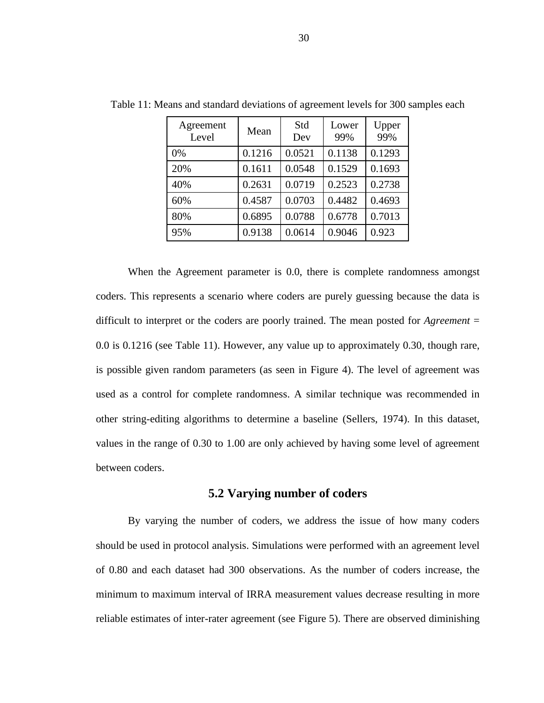| Agreement<br>Level | Mean   | Std<br>Dev | Lower<br>99% | Upper<br>99% |
|--------------------|--------|------------|--------------|--------------|
| 0%                 | 0.1216 | 0.0521     | 0.1138       | 0.1293       |
| 20%                | 0.1611 | 0.0548     | 0.1529       | 0.1693       |
| 40%                | 0.2631 | 0.0719     | 0.2523       | 0.2738       |
| 60%                | 0.4587 | 0.0703     | 0.4482       | 0.4693       |
| 80%                | 0.6895 | 0.0788     | 0.6778       | 0.7013       |
| 95%                | 0.9138 | 0.0614     | 0.9046       | 0.923        |

<span id="page-36-1"></span>Table 11: Means and standard deviations of agreement levels for 300 samples each

When the Agreement parameter is 0.0, there is complete randomness amongst coders. This represents a scenario where coders are purely guessing because the data is difficult to interpret or the coders are poorly trained. The mean posted for *Agreement* = 0.0 is 0.1216 (see Table 11). However, any value up to approximately 0.30, though rare, is possible given random parameters (as seen in Figure 4). The level of agreement was used as a control for complete randomness. A similar technique was recommended in other string-editing algorithms to determine a baseline (Sellers, 1974). In this dataset, values in the range of 0.30 to 1.00 are only achieved by having some level of agreement between coders.

### **5.2 Varying number of coders**

<span id="page-36-0"></span>By varying the number of coders, we address the issue of how many coders should be used in protocol analysis. Simulations were performed with an agreement level of 0.80 and each dataset had 300 observations. As the number of coders increase, the minimum to maximum interval of IRRA measurement values decrease resulting in more reliable estimates of inter-rater agreement (see Figure 5). There are observed diminishing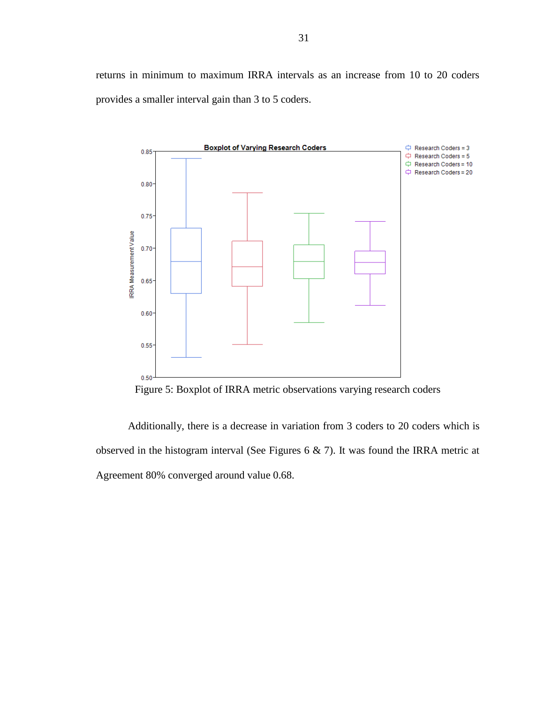returns in minimum to maximum IRRA intervals as an increase from 10 to 20 coders provides a smaller interval gain than 3 to 5 coders.



Figure 5: Boxplot of IRRA metric observations varying research coders

Additionally, there is a decrease in variation from 3 coders to 20 coders which is observed in the histogram interval (See Figures 6 & 7). It was found the IRRA metric at Agreement 80% converged around value 0.68.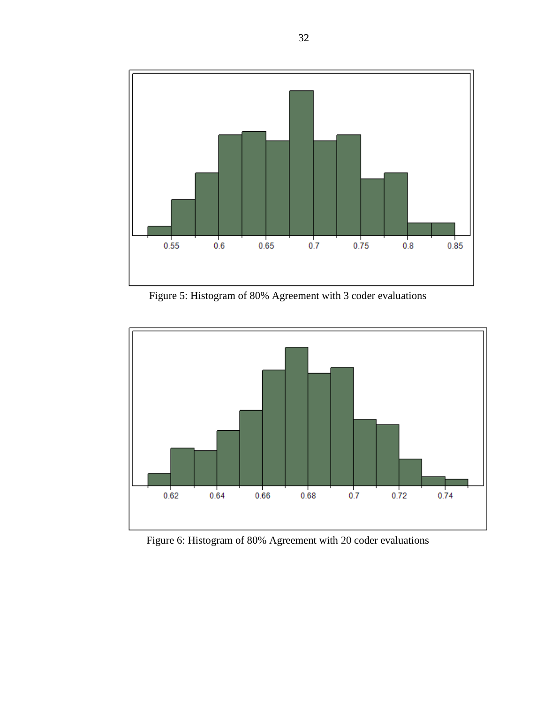

Figure 5: Histogram of 80% Agreement with 3 coder evaluations

<span id="page-38-0"></span>

<span id="page-38-1"></span>Figure 6: Histogram of 80% Agreement with 20 coder evaluations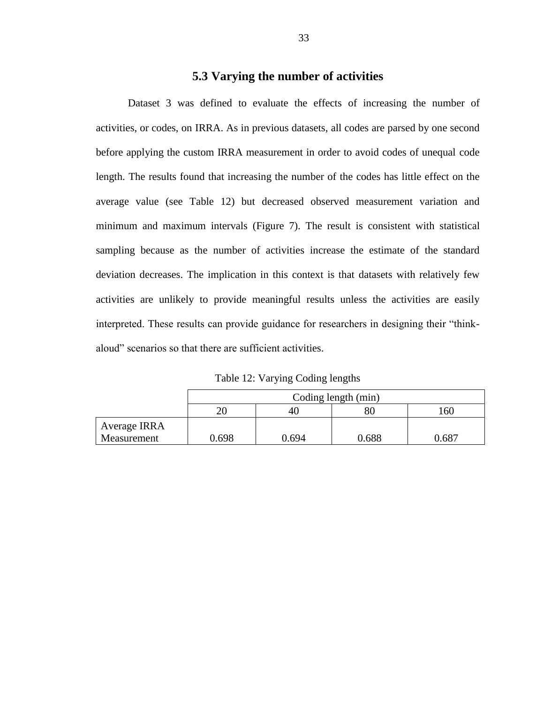### **5.3 Varying the number of activities**

<span id="page-39-0"></span>Dataset 3 was defined to evaluate the effects of increasing the number of activities, or codes, on IRRA. As in previous datasets, all codes are parsed by one second before applying the custom IRRA measurement in order to avoid codes of unequal code length. The results found that increasing the number of the codes has little effect on the average value (see Table 12) but decreased observed measurement variation and minimum and maximum intervals (Figure 7). The result is consistent with statistical sampling because as the number of activities increase the estimate of the standard deviation decreases. The implication in this context is that datasets with relatively few activities are unlikely to provide meaningful results unless the activities are easily interpreted. These results can provide guidance for researchers in designing their "thinkaloud" scenarios so that there are sufficient activities.

Table 12: Varying Coding lengths

<span id="page-39-1"></span>

|              | Coding length (min) |       |       |       |
|--------------|---------------------|-------|-------|-------|
|              | 20                  | 40    |       | 60    |
| Average IRRA |                     |       |       |       |
| Measurement  | 0.698               | 0.694 | 0.688 | 1.687 |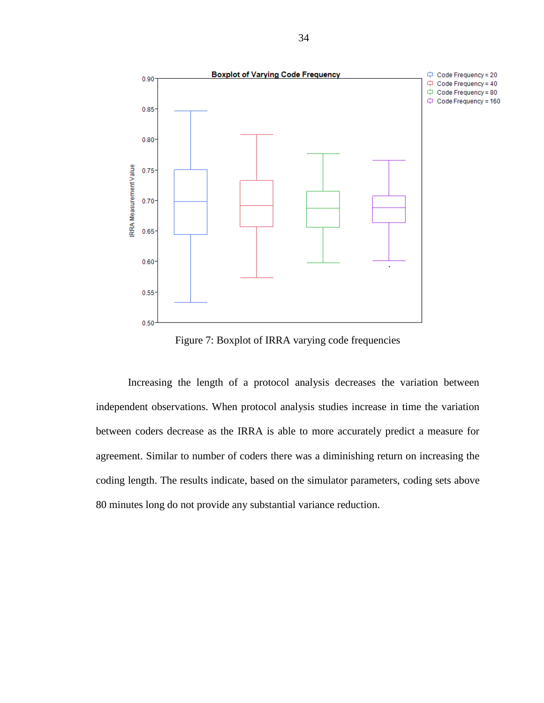

Figure 7: Boxplot of IRRA varying code frequencies

<span id="page-40-0"></span>Increasing the length of a protocol analysis decreases the variation between independent observations. When protocol analysis studies increase in time the variation between coders decrease as the IRRA is able to more accurately predict a measure for agreement. Similar to number of coders there was a diminishing return on increasing the coding length. The results indicate, based on the simulator parameters, coding sets above 80 minutes long do not provide any substantial variance reduction.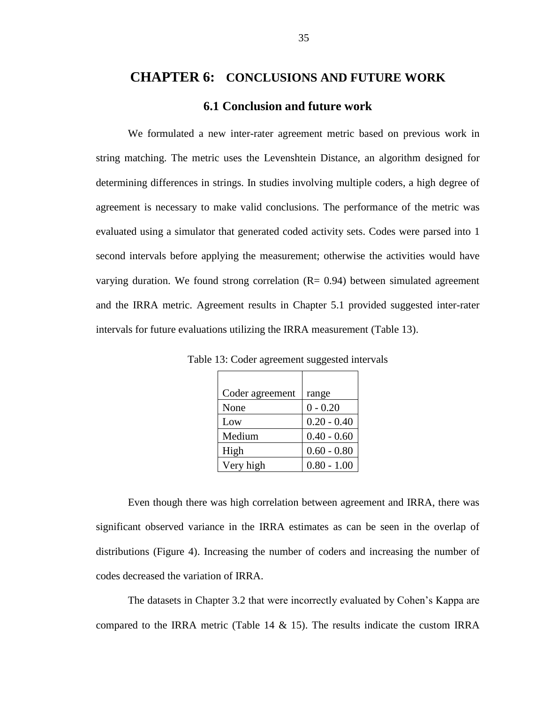# <span id="page-41-0"></span>**CHAPTER 6: CONCLUSIONS AND FUTURE WORK 6.1 Conclusion and future work**

<span id="page-41-1"></span>We formulated a new inter-rater agreement metric based on previous work in string matching. The metric uses the Levenshtein Distance, an algorithm designed for determining differences in strings. In studies involving multiple coders, a high degree of agreement is necessary to make valid conclusions. The performance of the metric was evaluated using a simulator that generated coded activity sets. Codes were parsed into 1 second intervals before applying the measurement; otherwise the activities would have varying duration. We found strong correlation  $(R = 0.94)$  between simulated agreement and the IRRA metric. Agreement results in Chapter 5.1 provided suggested inter-rater intervals for future evaluations utilizing the IRRA measurement (Table 13).

| Coder agreement | range         |
|-----------------|---------------|
| None            | $0 - 0.20$    |
| Low             | $0.20 - 0.40$ |
| Medium          | $0.40 - 0.60$ |
| High            | $0.60 - 0.80$ |
| Very high       | $0.80 - 1.00$ |

<span id="page-41-2"></span>Table 13: Coder agreement suggested intervals

Even though there was high correlation between agreement and IRRA, there was significant observed variance in the IRRA estimates as can be seen in the overlap of distributions (Figure 4). Increasing the number of coders and increasing the number of codes decreased the variation of IRRA.

The datasets in Chapter 3.2 that were incorrectly evaluated by Cohen's Kappa are compared to the IRRA metric (Table 14  $\&$  15). The results indicate the custom IRRA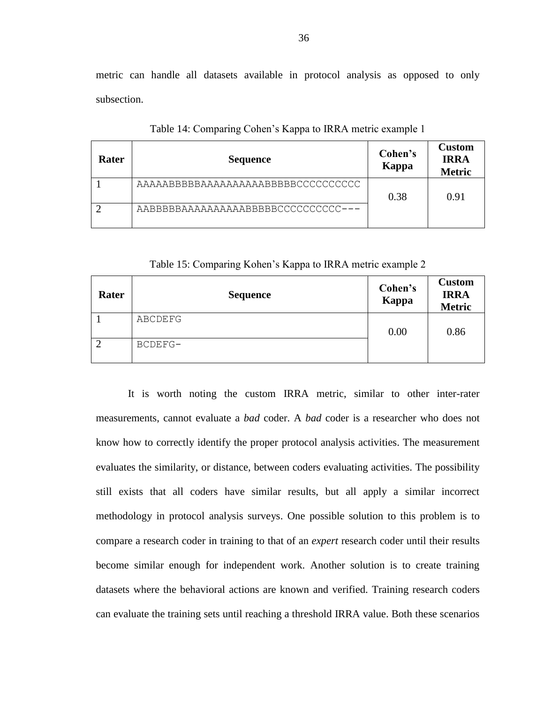metric can handle all datasets available in protocol analysis as opposed to only subsection.

<span id="page-42-0"></span>

| Rater | <b>Sequence</b>                     | Cohen's<br>Kappa | <b>Custom</b><br><b>IRRA</b><br><b>Metric</b> |
|-------|-------------------------------------|------------------|-----------------------------------------------|
|       | AAAAABBBBBAAAAAAAAAABBBBBCCCCCCCCC  | 0.38             | 0.91                                          |
|       | AABBBBBAAAAAAAAAABBBBBCCCCCCCCCC--- |                  |                                               |

Table 14: Comparing Cohen's Kappa to IRRA metric example 1

Table 15: Comparing Kohen's Kappa to IRRA metric example 2

<span id="page-42-1"></span>

| Rater          | <b>Sequence</b> | Cohen's<br>Kappa | <b>Custom</b><br><b>IRRA</b><br><b>Metric</b> |
|----------------|-----------------|------------------|-----------------------------------------------|
|                | ABCDEFG         | 0.00             | 0.86                                          |
| $\overline{2}$ | BCDEFG-         |                  |                                               |

It is worth noting the custom IRRA metric, similar to other inter-rater measurements, cannot evaluate a *bad* coder. A *bad* coder is a researcher who does not know how to correctly identify the proper protocol analysis activities. The measurement evaluates the similarity, or distance, between coders evaluating activities. The possibility still exists that all coders have similar results, but all apply a similar incorrect methodology in protocol analysis surveys. One possible solution to this problem is to compare a research coder in training to that of an *expert* research coder until their results become similar enough for independent work. Another solution is to create training datasets where the behavioral actions are known and verified. Training research coders can evaluate the training sets until reaching a threshold IRRA value. Both these scenarios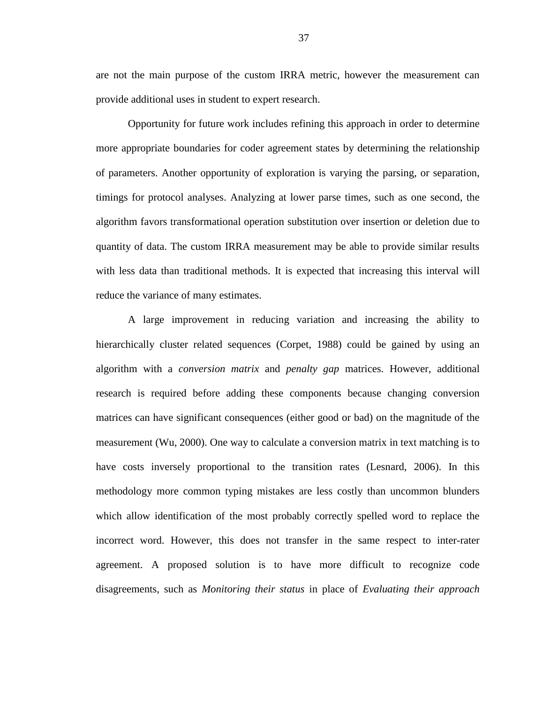are not the main purpose of the custom IRRA metric, however the measurement can provide additional uses in student to expert research.

Opportunity for future work includes refining this approach in order to determine more appropriate boundaries for coder agreement states by determining the relationship of parameters. Another opportunity of exploration is varying the parsing, or separation, timings for protocol analyses. Analyzing at lower parse times, such as one second, the algorithm favors transformational operation substitution over insertion or deletion due to quantity of data. The custom IRRA measurement may be able to provide similar results with less data than traditional methods. It is expected that increasing this interval will reduce the variance of many estimates.

A large improvement in reducing variation and increasing the ability to hierarchically cluster related sequences (Corpet, 1988) could be gained by using an algorithm with a *conversion matrix* and *penalty gap* matrices. However, additional research is required before adding these components because changing conversion matrices can have significant consequences (either good or bad) on the magnitude of the measurement (Wu, 2000). One way to calculate a conversion matrix in text matching is to have costs inversely proportional to the transition rates (Lesnard, 2006). In this methodology more common typing mistakes are less costly than uncommon blunders which allow identification of the most probably correctly spelled word to replace the incorrect word. However, this does not transfer in the same respect to inter-rater agreement. A proposed solution is to have more difficult to recognize code disagreements, such as *Monitoring their status* in place of *Evaluating their approach*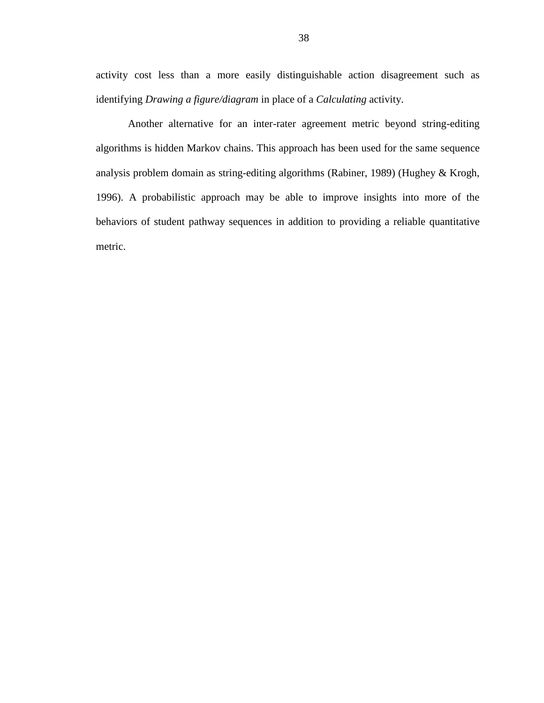activity cost less than a more easily distinguishable action disagreement such as identifying *Drawing a figure/diagram* in place of a *Calculating* activity.

Another alternative for an inter-rater agreement metric beyond string-editing algorithms is hidden Markov chains. This approach has been used for the same sequence analysis problem domain as string-editing algorithms (Rabiner, 1989) (Hughey & Krogh, 1996). A probabilistic approach may be able to improve insights into more of the behaviors of student pathway sequences in addition to providing a reliable quantitative metric.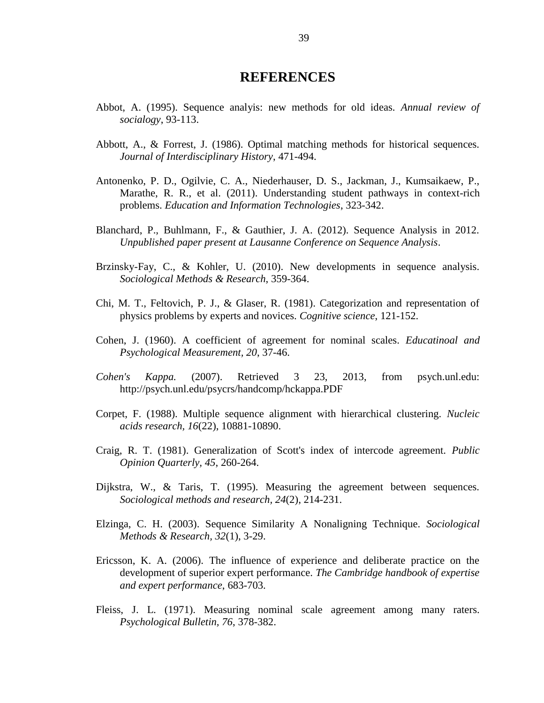# **REFERENCES**

- <span id="page-45-0"></span>Abbot, A. (1995). Sequence analyis: new methods for old ideas. *Annual review of socialogy*, 93-113.
- Abbott, A., & Forrest, J. (1986). Optimal matching methods for historical sequences. *Journal of Interdisciplinary History*, 471-494.
- Antonenko, P. D., Ogilvie, C. A., Niederhauser, D. S., Jackman, J., Kumsaikaew, P., Marathe, R. R., et al. (2011). Understanding student pathways in context-rich problems. *Education and Information Technologies*, 323-342.
- Blanchard, P., Buhlmann, F., & Gauthier, J. A. (2012). Sequence Analysis in 2012. *Unpublished paper present at Lausanne Conference on Sequence Analysis*.
- Brzinsky-Fay, C., & Kohler, U. (2010). New developments in sequence analysis. *Sociological Methods & Research*, 359-364.
- Chi, M. T., Feltovich, P. J., & Glaser, R. (1981). Categorization and representation of physics problems by experts and novices. *Cognitive science*, 121-152.
- Cohen, J. (1960). A coefficient of agreement for nominal scales. *Educatinoal and Psychological Measurement, 20*, 37-46.
- *Cohen's Kappa.* (2007). Retrieved 3 23, 2013, from psych.unl.edu: http://psych.unl.edu/psycrs/handcomp/hckappa.PDF
- Corpet, F. (1988). Multiple sequence alignment with hierarchical clustering. *Nucleic acids research, 16*(22), 10881-10890.
- Craig, R. T. (1981). Generalization of Scott's index of intercode agreement. *Public Opinion Quarterly, 45*, 260-264.
- Dijkstra, W., & Taris, T. (1995). Measuring the agreement between sequences. *Sociological methods and research, 24*(2), 214-231.
- Elzinga, C. H. (2003). Sequence Similarity A Nonaligning Technique. *Sociological Methods & Research, 32*(1), 3-29.
- Ericsson, K. A. (2006). The influence of experience and deliberate practice on the development of superior expert performance. *The Cambridge handbook of expertise and expert performance*, 683-703.
- Fleiss, J. L. (1971). Measuring nominal scale agreement among many raters. *Psychological Bulletin, 76*, 378-382.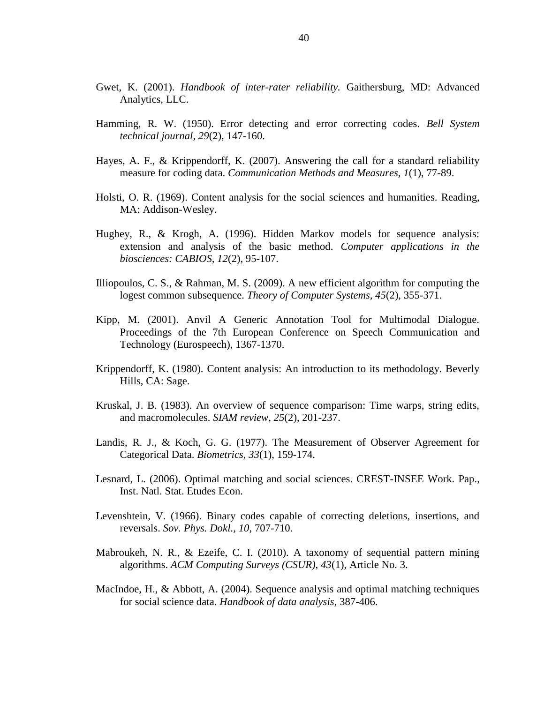- Gwet, K. (2001). *Handbook of inter-rater reliability.* Gaithersburg, MD: Advanced Analytics, LLC.
- Hamming, R. W. (1950). Error detecting and error correcting codes. *Bell System technical journal, 29*(2), 147-160.
- Hayes, A. F., & Krippendorff, K. (2007). Answering the call for a standard reliability measure for coding data. *Communication Methods and Measures, 1*(1), 77-89.
- Holsti, O. R. (1969). Content analysis for the social sciences and humanities. Reading, MA: Addison-Wesley.
- Hughey, R., & Krogh, A. (1996). Hidden Markov models for sequence analysis: extension and analysis of the basic method. *Computer applications in the biosciences: CABIOS, 12*(2), 95-107.
- Illiopoulos, C. S., & Rahman, M. S. (2009). A new efficient algorithm for computing the logest common subsequence. *Theory of Computer Systems, 45*(2), 355-371.
- Kipp, M. (2001). Anvil A Generic Annotation Tool for Multimodal Dialogue. Proceedings of the 7th European Conference on Speech Communication and Technology (Eurospeech), 1367-1370.
- Krippendorff, K. (1980). Content analysis: An introduction to its methodology. Beverly Hills, CA: Sage.
- Kruskal, J. B. (1983). An overview of sequence comparison: Time warps, string edits, and macromolecules. *SIAM review, 25*(2), 201-237.
- Landis, R. J., & Koch, G. G. (1977). The Measurement of Observer Agreement for Categorical Data. *Biometrics, 33*(1), 159-174.
- Lesnard, L. (2006). Optimal matching and social sciences. CREST-INSEE Work. Pap., Inst. Natl. Stat. Etudes Econ.
- Levenshtein, V. (1966). Binary codes capable of correcting deletions, insertions, and reversals. *Sov. Phys. Dokl., 10*, 707-710.
- Mabroukeh, N. R., & Ezeife, C. I. (2010). A taxonomy of sequential pattern mining algorithms. *ACM Computing Surveys (CSUR), 43*(1), Article No. 3.
- MacIndoe, H., & Abbott, A. (2004). Sequence analysis and optimal matching techniques for social science data. *Handbook of data analysis*, 387-406.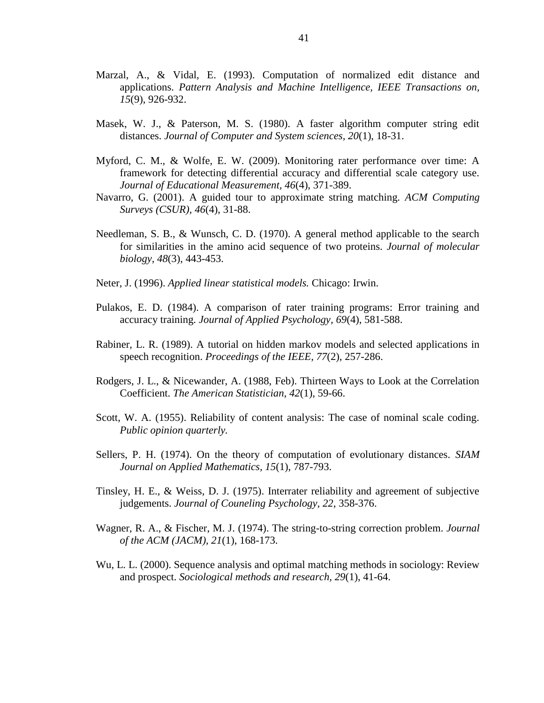- Marzal, A., & Vidal, E. (1993). Computation of normalized edit distance and applications. *Pattern Analysis and Machine Intelligence, IEEE Transactions on, 15*(9), 926-932.
- Masek, W. J., & Paterson, M. S. (1980). A faster algorithm computer string edit distances. *Journal of Computer and System sciences, 20*(1), 18-31.
- Myford, C. M., & Wolfe, E. W. (2009). Monitoring rater performance over time: A framework for detecting differential accuracy and differential scale category use. *Journal of Educational Measurement, 46*(4), 371-389.
- Navarro, G. (2001). A guided tour to approximate string matching. *ACM Computing Surveys (CSUR), 46*(4), 31-88.
- Needleman, S. B., & Wunsch, C. D. (1970). A general method applicable to the search for similarities in the amino acid sequence of two proteins. *Journal of molecular biology, 48*(3), 443-453.
- Neter, J. (1996). *Applied linear statistical models.* Chicago: Irwin.
- Pulakos, E. D. (1984). A comparison of rater training programs: Error training and accuracy training. *Journal of Applied Psychology, 69*(4), 581-588.
- Rabiner, L. R. (1989). A tutorial on hidden markov models and selected applications in speech recognition. *Proceedings of the IEEE, 77*(2), 257-286.
- Rodgers, J. L., & Nicewander, A. (1988, Feb). Thirteen Ways to Look at the Correlation Coefficient. *The American Statistician, 42*(1), 59-66.
- Scott, W. A. (1955). Reliability of content analysis: The case of nominal scale coding. *Public opinion quarterly.*
- Sellers, P. H. (1974). On the theory of computation of evolutionary distances. *SIAM Journal on Applied Mathematics, 15*(1), 787-793.
- Tinsley, H. E., & Weiss, D. J. (1975). Interrater reliability and agreement of subjective judgements. *Journal of Couneling Psychology, 22*, 358-376.
- Wagner, R. A., & Fischer, M. J. (1974). The string-to-string correction problem. *Journal of the ACM (JACM), 21*(1), 168-173.
- Wu, L. L. (2000). Sequence analysis and optimal matching methods in sociology: Review and prospect. *Sociological methods and research, 29*(1), 41-64.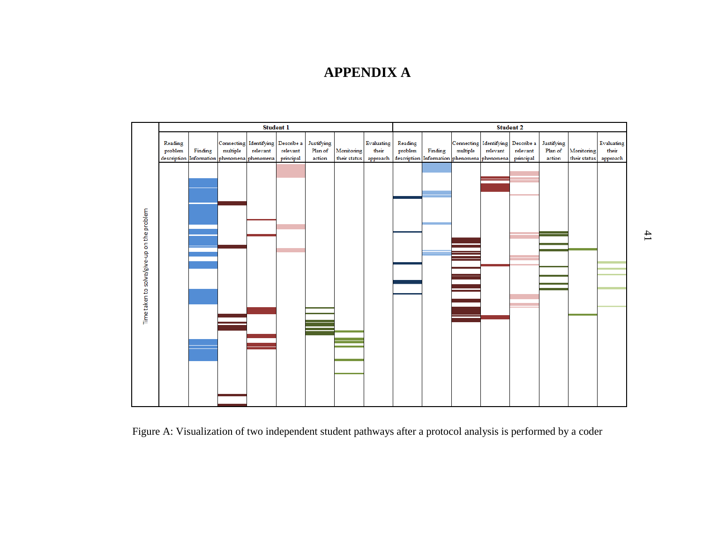# **APPENDIX A**

<span id="page-48-0"></span>

Figure A: Visualization of two independent student pathways after a protocol analysis is performed by a coder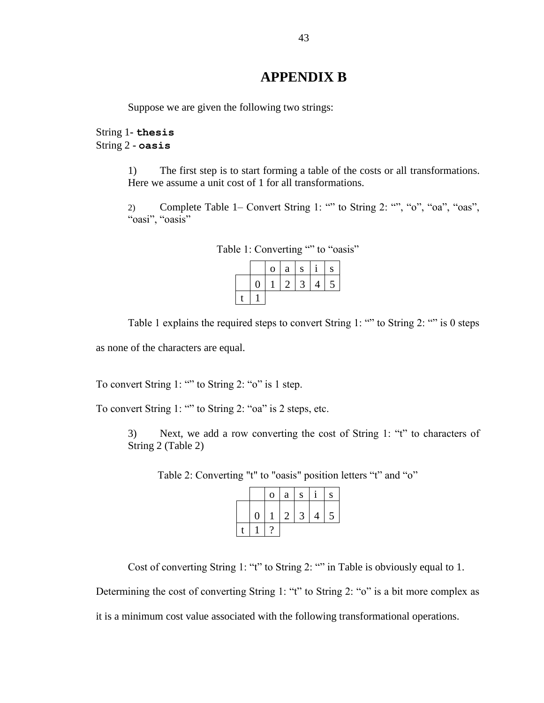# **APPENDIX B**

<span id="page-49-0"></span>Suppose we are given the following two strings:

String 1**- thesis** String 2 **- oasis**

> 1) The first step is to start forming a table of the costs or all transformations. Here we assume a unit cost of 1 for all transformations.

> 2) Complete Table 1– Convert String 1: "" to String 2: "", "o", "oa", "oas", "oasi", "oasis"

|  | $\mathbf{O}$ | a             | $\cdot$ S |   | S |
|--|--------------|---------------|-----------|---|---|
|  |              | $\mathcal{D}$ | 3         | 4 |   |
|  |              |               |           |   |   |

| Table 1: Converting "" to "oasis" |  |  |
|-----------------------------------|--|--|
|-----------------------------------|--|--|

Table 1 explains the required steps to convert String 1: "" to String 2: "" is 0 steps

as none of the characters are equal.

To convert String 1: "" to String 2: "o" is 1 step.

To convert String 1: "" to String 2: "oa" is 2 steps, etc.

<span id="page-49-1"></span>3) Next, we add a row converting the cost of String 1: "t" to characters of String 2 (Table 2)

Table 2: Converting "t" to "oasis" position letters "t" and "o"

|                | $\mathbf 0$ | $\mathbf{a}$ | S |                | ${\bf S}$ |
|----------------|-------------|--------------|---|----------------|-----------|
| $\overline{0}$ |             | $\mathbb{Z}$ | 3 | $\overline{4}$ | 5         |
|                |             |              |   |                |           |

Cost of converting String 1: "t" to String 2: "" in [Table](#page-49-1) is obviously equal to 1.

Determining the cost of converting String 1: "t" to String 2: "o" is a bit more complex as

it is a minimum cost value associated with the following transformational operations.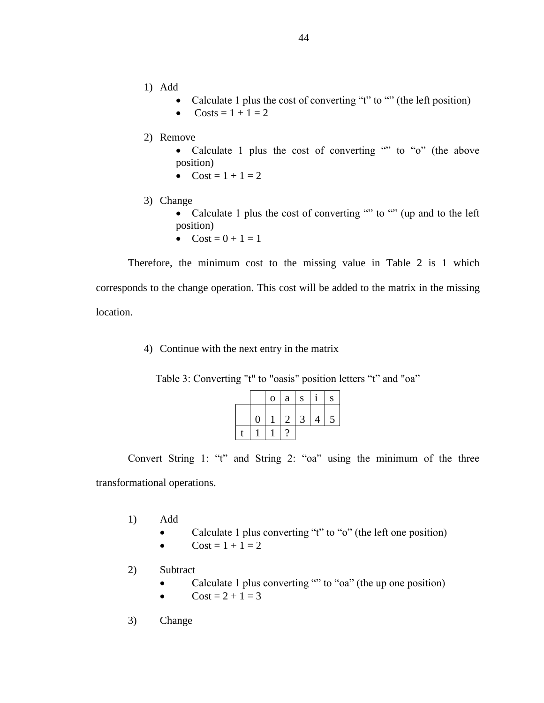- 1) Add
	- Calculate 1 plus the cost of converting "t" to "" (the left position)
	- $\text{Costs} = 1 + 1 = 2$
- 2) Remove
	- Calculate 1 plus the cost of converting "" to "o" (the above position)
	- $Cost = 1 + 1 = 2$
- 3) Change
	- Calculate 1 plus the cost of converting "" to "" (up and to the left position)
	- $Cost = 0 + 1 = 1$

Therefore, the minimum cost to the missing value in Table 2 is 1 which corresponds to the change operation. This cost will be added to the matrix in the missing location.

4) Continue with the next entry in the matrix

|  |                   | $\mathbf{O}$ | a          | S |                |   |
|--|-------------------|--------------|------------|---|----------------|---|
|  | $\mathbf{\Omega}$ |              | $2 \mid 3$ |   | $\overline{4}$ | 5 |
|  |                   |              |            |   |                |   |

Table 3: Converting "t" to "oasis" position letters "t" and "oa"

Convert String 1: "t" and String 2: "oa" using the minimum of the three transformational operations.

- 1) Add
	- Calculate 1 plus converting "t" to "o" (the left one position)
	- $Cost = 1 + 1 = 2$
- 2) Subtract
	- Calculate 1 plus converting "" to " $oa$ " (the up one position)
	- $Cost = 2 + 1 = 3$
- 3) Change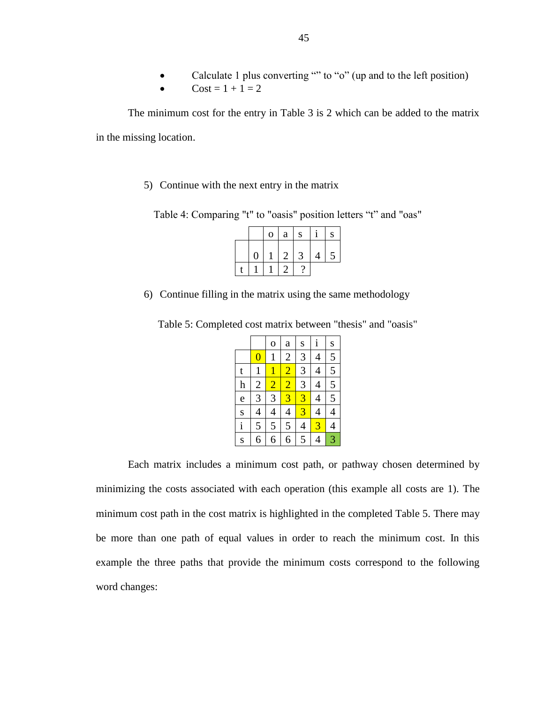•  $Cost = 1 + 1 = 2$ 

The minimum cost for the entry in Table 3 is 2 which can be added to the matrix in the missing location.

5) Continue with the next entry in the matrix

Table 4: Comparing "t" to "oasis" position letters "t" and "oas"

|                | $\mathbf 0$ | a | S |                | ${\bf S}$ |
|----------------|-------------|---|---|----------------|-----------|
| $\overline{0}$ |             | 2 | 3 | $\overline{4}$ | 5         |
|                |             |   |   |                |           |

6) Continue filling in the matrix using the same methodology

|  | Table 5: Completed cost matrix between "thesis" and "oasis" |  |  |  |
|--|-------------------------------------------------------------|--|--|--|
|--|-------------------------------------------------------------|--|--|--|

|                  |                | $\overline{O}$ | a              | S              | i              | S              |  |  |
|------------------|----------------|----------------|----------------|----------------|----------------|----------------|--|--|
|                  | $\pmb{0}$      | $\mathbf{1}$   | $\overline{c}$ | 3              | 4              | 5              |  |  |
| t                | $\mathbf 1$    | $\overline{1}$ | $\overline{2}$ | $\overline{3}$ | 4              | 5              |  |  |
| $\boldsymbol{h}$ | $\overline{c}$ | $\overline{2}$ | $\overline{2}$ | $\overline{3}$ | 4              | 5              |  |  |
| $\mathbf{e}$     | 3              | 3              | $\overline{3}$ | $\overline{3}$ | $\overline{4}$ | $\overline{5}$ |  |  |
|                  | 4              | $\overline{4}$ | 4              | $\overline{3}$ | $\overline{4}$ | 4              |  |  |
| $rac{s}{i}$      | 5              | 5              | 5              | 4              | $\overline{3}$ | 4              |  |  |
| S                | 6              | 6              | 6              | 5              | 4              | 3              |  |  |

Each matrix includes a minimum cost path, or pathway chosen determined by minimizing the costs associated with each operation (this example all costs are 1). The minimum cost path in the cost matrix is highlighted in the completed Table 5. There may be more than one path of equal values in order to reach the minimum cost. In this example the three paths that provide the minimum costs correspond to the following word changes: